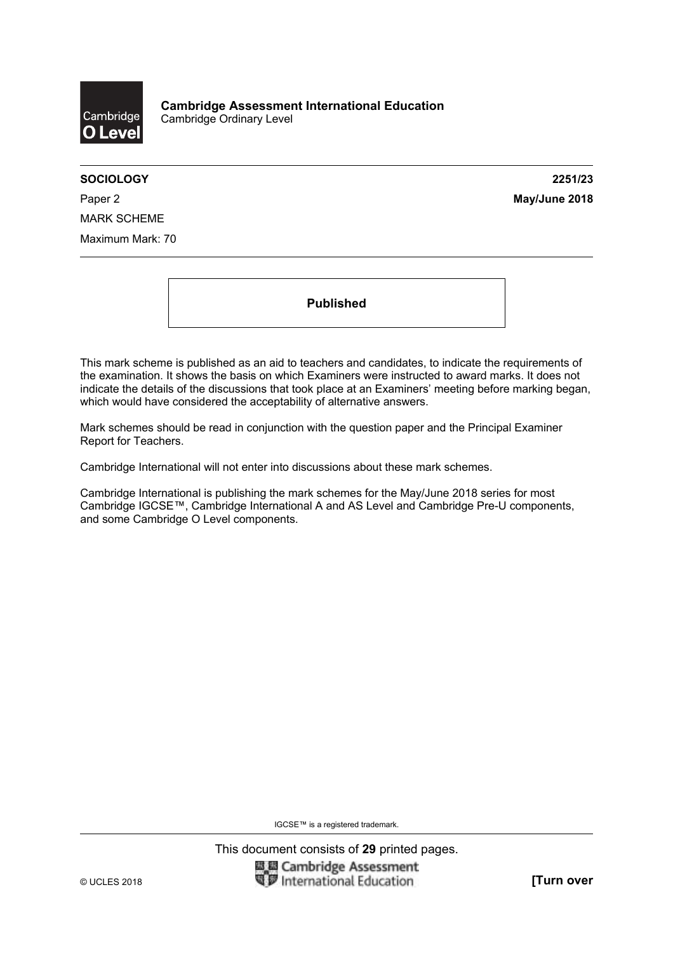

**SOCIOLOGY 2251/23** 

Paper 2 **May/June 2018** MARK SCHEME Maximum Mark: 70

**Published** 

This mark scheme is published as an aid to teachers and candidates, to indicate the requirements of the examination. It shows the basis on which Examiners were instructed to award marks. It does not indicate the details of the discussions that took place at an Examiners' meeting before marking began, which would have considered the acceptability of alternative answers.

Mark schemes should be read in conjunction with the question paper and the Principal Examiner Report for Teachers.

Cambridge International will not enter into discussions about these mark schemes.

Cambridge International is publishing the mark schemes for the May/June 2018 series for most Cambridge IGCSE™, Cambridge International A and AS Level and Cambridge Pre-U components, and some Cambridge O Level components.

IGCSE™ is a registered trademark.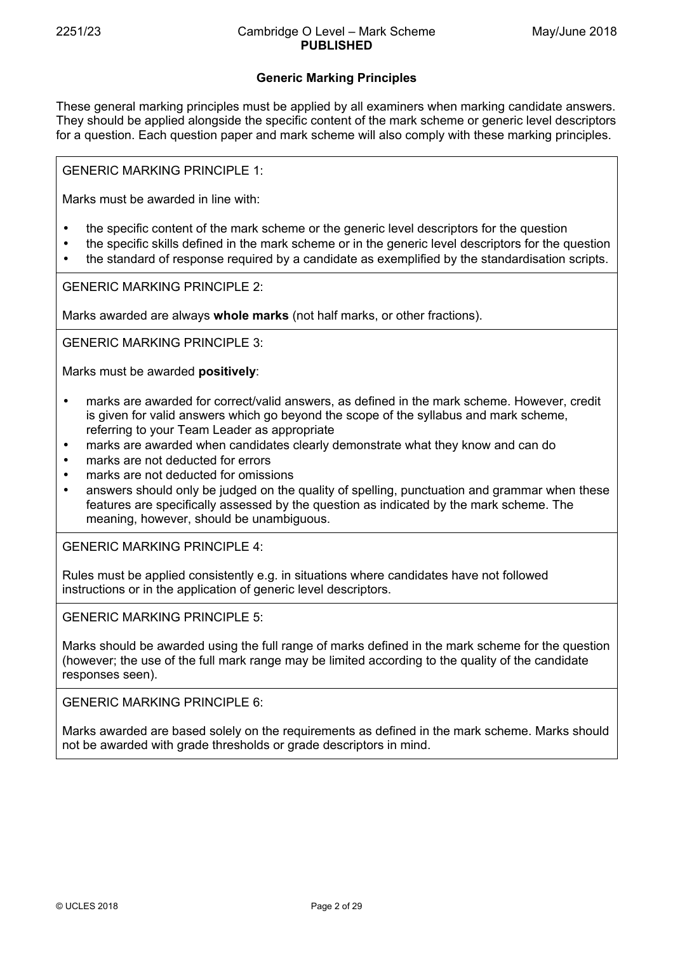# **Generic Marking Principles**

These general marking principles must be applied by all examiners when marking candidate answers. They should be applied alongside the specific content of the mark scheme or generic level descriptors for a question. Each question paper and mark scheme will also comply with these marking principles.

GENERIC MARKING PRINCIPLE 1:

Marks must be awarded in line with:

- the specific content of the mark scheme or the generic level descriptors for the question
- the specific skills defined in the mark scheme or in the generic level descriptors for the question
- the standard of response required by a candidate as exemplified by the standardisation scripts.

GENERIC MARKING PRINCIPLE 2:

Marks awarded are always **whole marks** (not half marks, or other fractions).

GENERIC MARKING PRINCIPLE 3:

Marks must be awarded **positively**:

- marks are awarded for correct/valid answers, as defined in the mark scheme. However, credit is given for valid answers which go beyond the scope of the syllabus and mark scheme, referring to your Team Leader as appropriate
- marks are awarded when candidates clearly demonstrate what they know and can do
- marks are not deducted for errors
- marks are not deducted for omissions
- answers should only be judged on the quality of spelling, punctuation and grammar when these features are specifically assessed by the question as indicated by the mark scheme. The meaning, however, should be unambiguous.

GENERIC MARKING PRINCIPLE 4:

Rules must be applied consistently e.g. in situations where candidates have not followed instructions or in the application of generic level descriptors.

GENERIC MARKING PRINCIPLE 5:

Marks should be awarded using the full range of marks defined in the mark scheme for the question (however; the use of the full mark range may be limited according to the quality of the candidate responses seen).

GENERIC MARKING PRINCIPLE 6:

Marks awarded are based solely on the requirements as defined in the mark scheme. Marks should not be awarded with grade thresholds or grade descriptors in mind.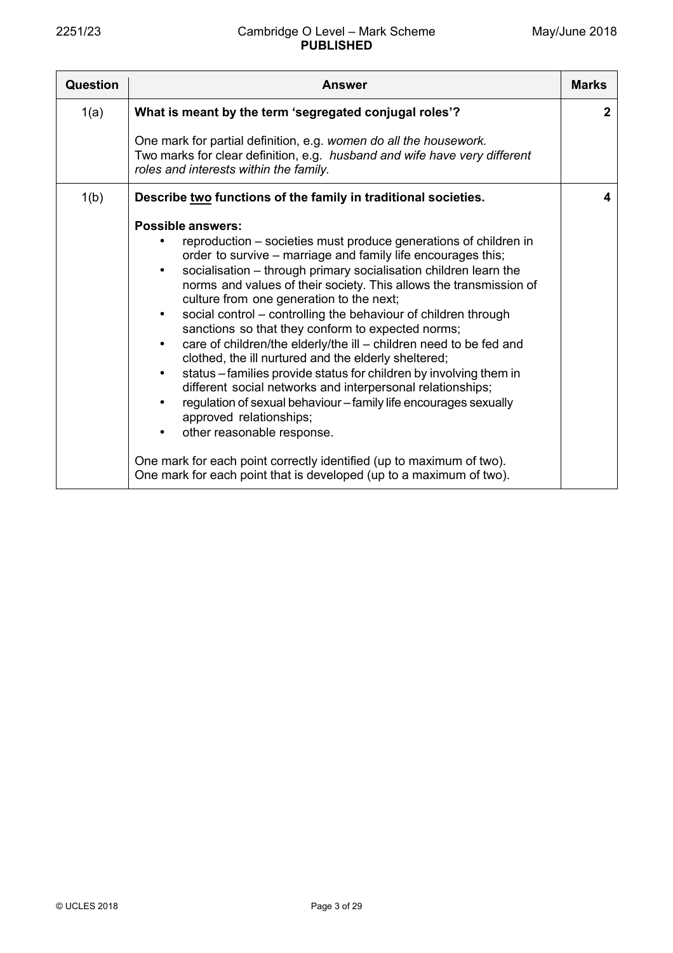| Question | <b>Answer</b>                                                                                                                                                                                                                                                                                                                                                                                                                                                                                                                                                                                                                                                                                                                                                                                                                                                                                                                                                                                                                                                               | <b>Marks</b> |
|----------|-----------------------------------------------------------------------------------------------------------------------------------------------------------------------------------------------------------------------------------------------------------------------------------------------------------------------------------------------------------------------------------------------------------------------------------------------------------------------------------------------------------------------------------------------------------------------------------------------------------------------------------------------------------------------------------------------------------------------------------------------------------------------------------------------------------------------------------------------------------------------------------------------------------------------------------------------------------------------------------------------------------------------------------------------------------------------------|--------------|
| 1(a)     | What is meant by the term 'segregated conjugal roles'?                                                                                                                                                                                                                                                                                                                                                                                                                                                                                                                                                                                                                                                                                                                                                                                                                                                                                                                                                                                                                      | $\mathbf{2}$ |
|          | One mark for partial definition, e.g. women do all the housework.<br>Two marks for clear definition, e.g. husband and wife have very different<br>roles and interests within the family.                                                                                                                                                                                                                                                                                                                                                                                                                                                                                                                                                                                                                                                                                                                                                                                                                                                                                    |              |
| 1(b)     | Describe two functions of the family in traditional societies.                                                                                                                                                                                                                                                                                                                                                                                                                                                                                                                                                                                                                                                                                                                                                                                                                                                                                                                                                                                                              | 4            |
|          | <b>Possible answers:</b><br>reproduction – societies must produce generations of children in<br>order to survive – marriage and family life encourages this;<br>socialisation - through primary socialisation children learn the<br>$\bullet$<br>norms and values of their society. This allows the transmission of<br>culture from one generation to the next;<br>social control - controlling the behaviour of children through<br>$\bullet$<br>sanctions so that they conform to expected norms;<br>care of children/the elderly/the ill - children need to be fed and<br>$\bullet$<br>clothed, the ill nurtured and the elderly sheltered;<br>status - families provide status for children by involving them in<br>$\bullet$<br>different social networks and interpersonal relationships;<br>regulation of sexual behaviour - family life encourages sexually<br>approved relationships;<br>other reasonable response.<br>One mark for each point correctly identified (up to maximum of two).<br>One mark for each point that is developed (up to a maximum of two). |              |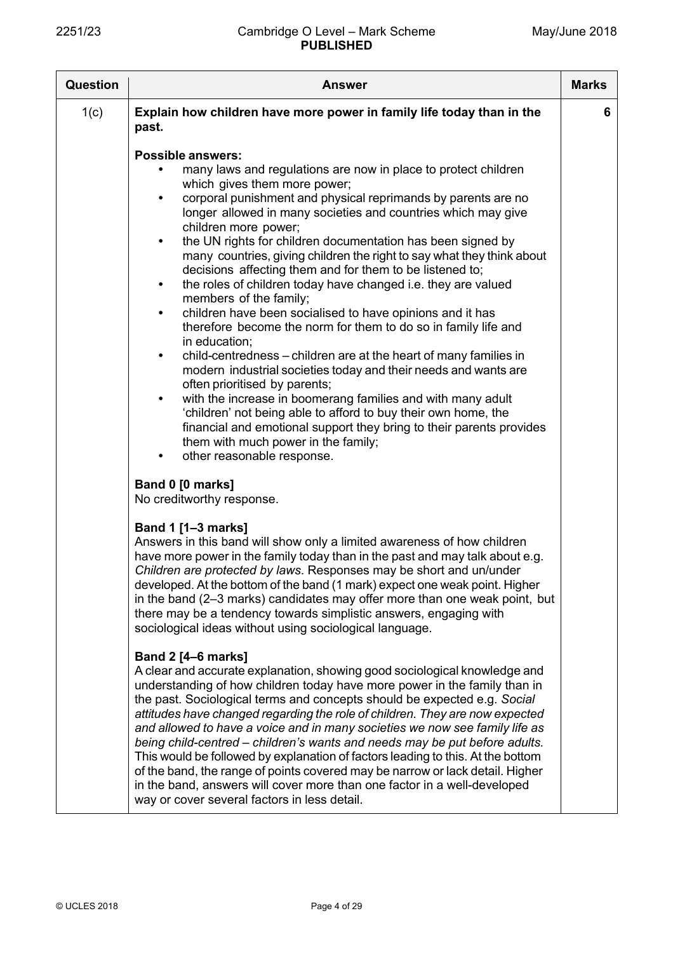| Question | <b>Answer</b>                                                                                                                                                                                                                                                                                                                                                                                                                                                                                                                                                                                                                                                                                                                                                                                                                                                                                                                                                                                                                                                                                                                                                                                                                                                             | <b>Marks</b> |
|----------|---------------------------------------------------------------------------------------------------------------------------------------------------------------------------------------------------------------------------------------------------------------------------------------------------------------------------------------------------------------------------------------------------------------------------------------------------------------------------------------------------------------------------------------------------------------------------------------------------------------------------------------------------------------------------------------------------------------------------------------------------------------------------------------------------------------------------------------------------------------------------------------------------------------------------------------------------------------------------------------------------------------------------------------------------------------------------------------------------------------------------------------------------------------------------------------------------------------------------------------------------------------------------|--------------|
| 1(c)     | Explain how children have more power in family life today than in the<br>past.                                                                                                                                                                                                                                                                                                                                                                                                                                                                                                                                                                                                                                                                                                                                                                                                                                                                                                                                                                                                                                                                                                                                                                                            | 6            |
|          | <b>Possible answers:</b><br>many laws and regulations are now in place to protect children<br>which gives them more power;<br>corporal punishment and physical reprimands by parents are no<br>$\bullet$<br>longer allowed in many societies and countries which may give<br>children more power;<br>the UN rights for children documentation has been signed by<br>$\bullet$<br>many countries, giving children the right to say what they think about<br>decisions affecting them and for them to be listened to;<br>the roles of children today have changed i.e. they are valued<br>$\bullet$<br>members of the family;<br>children have been socialised to have opinions and it has<br>$\bullet$<br>therefore become the norm for them to do so in family life and<br>in education;<br>child-centredness – children are at the heart of many families in<br>$\bullet$<br>modern industrial societies today and their needs and wants are<br>often prioritised by parents;<br>with the increase in boomerang families and with many adult<br>'children' not being able to afford to buy their own home, the<br>financial and emotional support they bring to their parents provides<br>them with much power in the family;<br>other reasonable response.<br>$\bullet$ |              |
|          | Band 0 [0 marks]<br>No creditworthy response.                                                                                                                                                                                                                                                                                                                                                                                                                                                                                                                                                                                                                                                                                                                                                                                                                                                                                                                                                                                                                                                                                                                                                                                                                             |              |
|          | <b>Band 1 [1-3 marks]</b><br>Answers in this band will show only a limited awareness of how children<br>have more power in the family today than in the past and may talk about e.g.<br>Children are protected by laws. Responses may be short and un/under<br>developed. At the bottom of the band (1 mark) expect one weak point. Higher<br>in the band (2–3 marks) candidates may offer more than one weak point, but<br>there may be a tendency towards simplistic answers, engaging with<br>sociological ideas without using sociological language.                                                                                                                                                                                                                                                                                                                                                                                                                                                                                                                                                                                                                                                                                                                  |              |
|          | <b>Band 2 [4-6 marks]</b><br>A clear and accurate explanation, showing good sociological knowledge and<br>understanding of how children today have more power in the family than in<br>the past. Sociological terms and concepts should be expected e.g. Social<br>attitudes have changed regarding the role of children. They are now expected<br>and allowed to have a voice and in many societies we now see family life as<br>being child-centred – children's wants and needs may be put before adults.<br>This would be followed by explanation of factors leading to this. At the bottom<br>of the band, the range of points covered may be narrow or lack detail. Higher<br>in the band, answers will cover more than one factor in a well-developed<br>way or cover several factors in less detail.                                                                                                                                                                                                                                                                                                                                                                                                                                                              |              |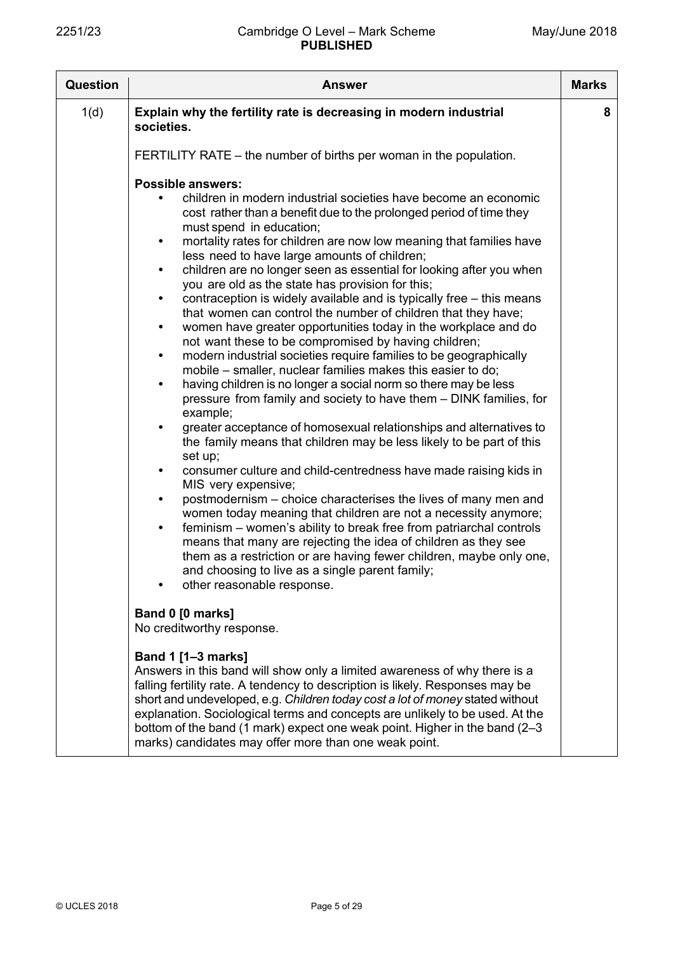| <b>Question</b> | <b>Answer</b>                                                                                                                                                                                                                                                                                                                                                                                                                                                                                                                                                                                                                                                                                                                                                                                                                                                                                                                                                                                                                                                                                                                                                                                                                                                                                                                                                                                                                                                                                                                                                                                                                                                                                                                                                                                                                          | <b>Marks</b> |
|-----------------|----------------------------------------------------------------------------------------------------------------------------------------------------------------------------------------------------------------------------------------------------------------------------------------------------------------------------------------------------------------------------------------------------------------------------------------------------------------------------------------------------------------------------------------------------------------------------------------------------------------------------------------------------------------------------------------------------------------------------------------------------------------------------------------------------------------------------------------------------------------------------------------------------------------------------------------------------------------------------------------------------------------------------------------------------------------------------------------------------------------------------------------------------------------------------------------------------------------------------------------------------------------------------------------------------------------------------------------------------------------------------------------------------------------------------------------------------------------------------------------------------------------------------------------------------------------------------------------------------------------------------------------------------------------------------------------------------------------------------------------------------------------------------------------------------------------------------------------|--------------|
| 1(d)            | Explain why the fertility rate is decreasing in modern industrial<br>societies.                                                                                                                                                                                                                                                                                                                                                                                                                                                                                                                                                                                                                                                                                                                                                                                                                                                                                                                                                                                                                                                                                                                                                                                                                                                                                                                                                                                                                                                                                                                                                                                                                                                                                                                                                        | 8            |
|                 | FERTILITY RATE – the number of births per woman in the population.                                                                                                                                                                                                                                                                                                                                                                                                                                                                                                                                                                                                                                                                                                                                                                                                                                                                                                                                                                                                                                                                                                                                                                                                                                                                                                                                                                                                                                                                                                                                                                                                                                                                                                                                                                     |              |
|                 | <b>Possible answers:</b><br>children in modern industrial societies have become an economic<br>cost rather than a benefit due to the prolonged period of time they<br>must spend in education;<br>mortality rates for children are now low meaning that families have<br>$\bullet$<br>less need to have large amounts of children;<br>children are no longer seen as essential for looking after you when<br>$\bullet$<br>you are old as the state has provision for this;<br>contraception is widely available and is typically free – this means<br>$\bullet$<br>that women can control the number of children that they have;<br>women have greater opportunities today in the workplace and do<br>$\bullet$<br>not want these to be compromised by having children;<br>modern industrial societies require families to be geographically<br>$\bullet$<br>mobile – smaller, nuclear families makes this easier to do;<br>having children is no longer a social norm so there may be less<br>$\bullet$<br>pressure from family and society to have them - DINK families, for<br>example;<br>greater acceptance of homosexual relationships and alternatives to<br>$\bullet$<br>the family means that children may be less likely to be part of this<br>set up;<br>consumer culture and child-centredness have made raising kids in<br>$\bullet$<br>MIS very expensive;<br>postmodernism – choice characterises the lives of many men and<br>$\bullet$<br>women today meaning that children are not a necessity anymore;<br>feminism – women's ability to break free from patriarchal controls<br>$\bullet$<br>means that many are rejecting the idea of children as they see<br>them as a restriction or are having fewer children, maybe only one,<br>and choosing to live as a single parent family;<br>other reasonable response. |              |
|                 | Band 0 [0 marks]<br>No creditworthy response.                                                                                                                                                                                                                                                                                                                                                                                                                                                                                                                                                                                                                                                                                                                                                                                                                                                                                                                                                                                                                                                                                                                                                                                                                                                                                                                                                                                                                                                                                                                                                                                                                                                                                                                                                                                          |              |
|                 | <b>Band 1 [1-3 marks]</b><br>Answers in this band will show only a limited awareness of why there is a<br>falling fertility rate. A tendency to description is likely. Responses may be<br>short and undeveloped, e.g. Children today cost a lot of money stated without<br>explanation. Sociological terms and concepts are unlikely to be used. At the<br>bottom of the band (1 mark) expect one weak point. Higher in the band (2-3<br>marks) candidates may offer more than one weak point.                                                                                                                                                                                                                                                                                                                                                                                                                                                                                                                                                                                                                                                                                                                                                                                                                                                                                                                                                                                                                                                                                                                                                                                                                                                                                                                                        |              |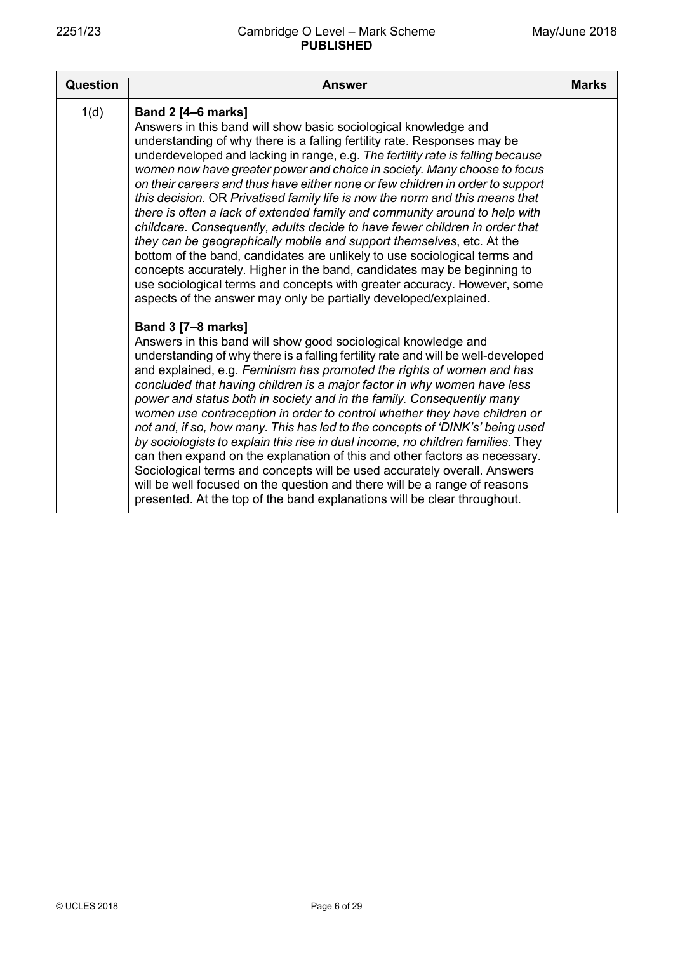| <b>Question</b> | <b>Answer</b>                                                                                                                                                                                                                                                                                                                                                                                                                                                                                                                                                                                                                                                                                                                                                                                                                                                                                                                                                                                                                                           | <b>Marks</b> |
|-----------------|---------------------------------------------------------------------------------------------------------------------------------------------------------------------------------------------------------------------------------------------------------------------------------------------------------------------------------------------------------------------------------------------------------------------------------------------------------------------------------------------------------------------------------------------------------------------------------------------------------------------------------------------------------------------------------------------------------------------------------------------------------------------------------------------------------------------------------------------------------------------------------------------------------------------------------------------------------------------------------------------------------------------------------------------------------|--------------|
| 1(d)            | <b>Band 2 [4-6 marks]</b><br>Answers in this band will show basic sociological knowledge and<br>understanding of why there is a falling fertility rate. Responses may be<br>underdeveloped and lacking in range, e.g. The fertility rate is falling because<br>women now have greater power and choice in society. Many choose to focus<br>on their careers and thus have either none or few children in order to support<br>this decision. OR Privatised family life is now the norm and this means that<br>there is often a lack of extended family and community around to help with<br>childcare. Consequently, adults decide to have fewer children in order that<br>they can be geographically mobile and support themselves, etc. At the<br>bottom of the band, candidates are unlikely to use sociological terms and<br>concepts accurately. Higher in the band, candidates may be beginning to<br>use sociological terms and concepts with greater accuracy. However, some<br>aspects of the answer may only be partially developed/explained. |              |
|                 | <b>Band 3 [7-8 marks]</b><br>Answers in this band will show good sociological knowledge and<br>understanding of why there is a falling fertility rate and will be well-developed<br>and explained, e.g. Feminism has promoted the rights of women and has<br>concluded that having children is a major factor in why women have less<br>power and status both in society and in the family. Consequently many<br>women use contraception in order to control whether they have children or<br>not and, if so, how many. This has led to the concepts of 'DINK's' being used<br>by sociologists to explain this rise in dual income, no children families. They<br>can then expand on the explanation of this and other factors as necessary.<br>Sociological terms and concepts will be used accurately overall. Answers<br>will be well focused on the question and there will be a range of reasons<br>presented. At the top of the band explanations will be clear throughout.                                                                       |              |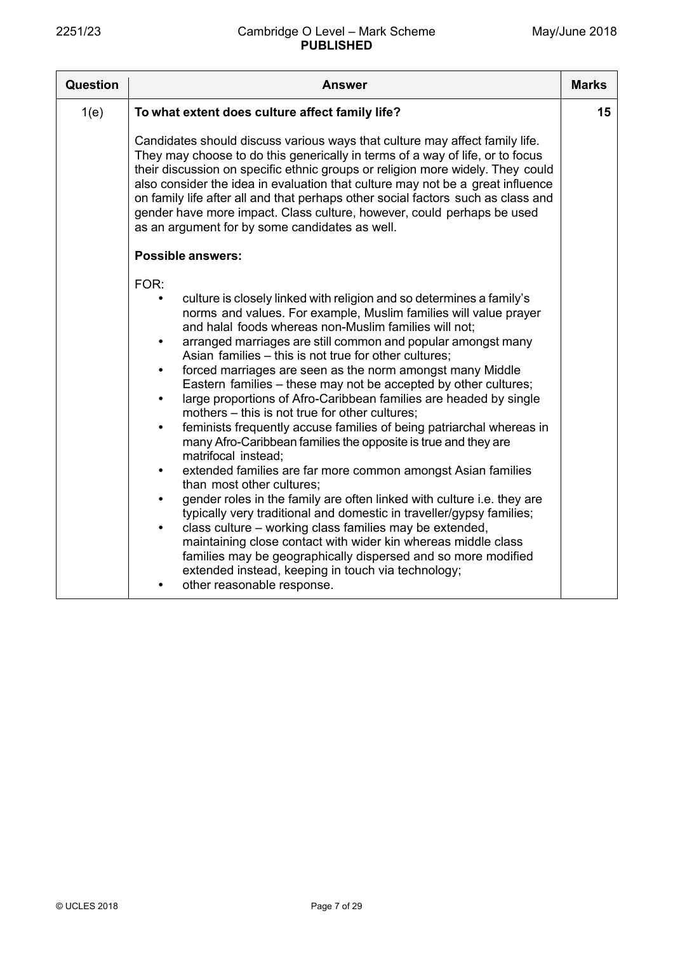| <b>Question</b> | <b>Answer</b>                                                                                                                                                                                                                                                                                                                                                                                                                                                                                                                                                                                                                                                                                                                                                                                                                                                                                                                                                                                                                                                                                                                                                                                                                                                                                                                                                                                                   | <b>Marks</b> |
|-----------------|-----------------------------------------------------------------------------------------------------------------------------------------------------------------------------------------------------------------------------------------------------------------------------------------------------------------------------------------------------------------------------------------------------------------------------------------------------------------------------------------------------------------------------------------------------------------------------------------------------------------------------------------------------------------------------------------------------------------------------------------------------------------------------------------------------------------------------------------------------------------------------------------------------------------------------------------------------------------------------------------------------------------------------------------------------------------------------------------------------------------------------------------------------------------------------------------------------------------------------------------------------------------------------------------------------------------------------------------------------------------------------------------------------------------|--------------|
| 1(e)            | To what extent does culture affect family life?                                                                                                                                                                                                                                                                                                                                                                                                                                                                                                                                                                                                                                                                                                                                                                                                                                                                                                                                                                                                                                                                                                                                                                                                                                                                                                                                                                 | 15           |
|                 | Candidates should discuss various ways that culture may affect family life.<br>They may choose to do this generically in terms of a way of life, or to focus<br>their discussion on specific ethnic groups or religion more widely. They could<br>also consider the idea in evaluation that culture may not be a great influence<br>on family life after all and that perhaps other social factors such as class and<br>gender have more impact. Class culture, however, could perhaps be used<br>as an argument for by some candidates as well.                                                                                                                                                                                                                                                                                                                                                                                                                                                                                                                                                                                                                                                                                                                                                                                                                                                                |              |
|                 | <b>Possible answers:</b>                                                                                                                                                                                                                                                                                                                                                                                                                                                                                                                                                                                                                                                                                                                                                                                                                                                                                                                                                                                                                                                                                                                                                                                                                                                                                                                                                                                        |              |
|                 | FOR:<br>culture is closely linked with religion and so determines a family's<br>$\bullet$<br>norms and values. For example, Muslim families will value prayer<br>and halal foods whereas non-Muslim families will not;<br>arranged marriages are still common and popular amongst many<br>$\bullet$<br>Asian families – this is not true for other cultures;<br>forced marriages are seen as the norm amongst many Middle<br>$\bullet$<br>Eastern families - these may not be accepted by other cultures;<br>large proportions of Afro-Caribbean families are headed by single<br>$\bullet$<br>mothers - this is not true for other cultures;<br>feminists frequently accuse families of being patriarchal whereas in<br>$\bullet$<br>many Afro-Caribbean families the opposite is true and they are<br>matrifocal instead;<br>extended families are far more common amongst Asian families<br>$\bullet$<br>than most other cultures;<br>gender roles in the family are often linked with culture i.e. they are<br>$\bullet$<br>typically very traditional and domestic in traveller/gypsy families;<br>class culture – working class families may be extended,<br>$\bullet$<br>maintaining close contact with wider kin whereas middle class<br>families may be geographically dispersed and so more modified<br>extended instead, keeping in touch via technology;<br>other reasonable response.<br>$\bullet$ |              |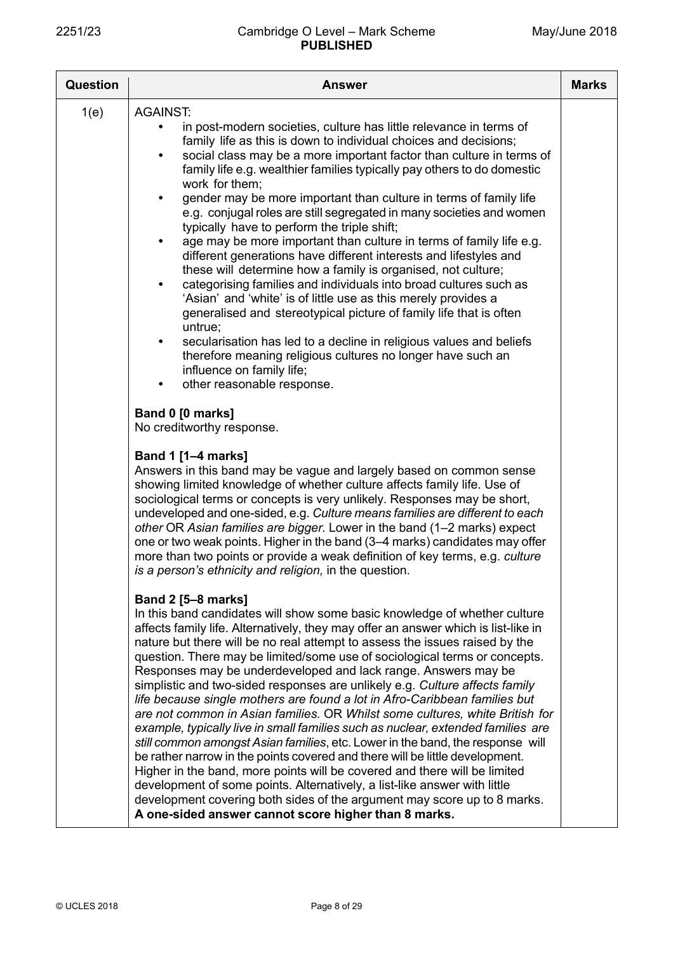| <b>Question</b> | <b>Answer</b>                                                                                                                                                                                                                                                                                                                                                                                                                                                                                                                                                                                                                                                                                                                                                                                                                                                                                                                                                                                                                                                                                                                                                                                                                                                                                                                                                                                                                                                                                                                                    | <b>Marks</b> |
|-----------------|--------------------------------------------------------------------------------------------------------------------------------------------------------------------------------------------------------------------------------------------------------------------------------------------------------------------------------------------------------------------------------------------------------------------------------------------------------------------------------------------------------------------------------------------------------------------------------------------------------------------------------------------------------------------------------------------------------------------------------------------------------------------------------------------------------------------------------------------------------------------------------------------------------------------------------------------------------------------------------------------------------------------------------------------------------------------------------------------------------------------------------------------------------------------------------------------------------------------------------------------------------------------------------------------------------------------------------------------------------------------------------------------------------------------------------------------------------------------------------------------------------------------------------------------------|--------------|
| 1(e)            | <b>AGAINST:</b><br>in post-modern societies, culture has little relevance in terms of<br>family life as this is down to individual choices and decisions;<br>social class may be a more important factor than culture in terms of<br>$\bullet$<br>family life e.g. wealthier families typically pay others to do domestic<br>work for them;<br>gender may be more important than culture in terms of family life<br>$\bullet$<br>e.g. conjugal roles are still segregated in many societies and women<br>typically have to perform the triple shift;<br>age may be more important than culture in terms of family life e.g.<br>$\bullet$<br>different generations have different interests and lifestyles and<br>these will determine how a family is organised, not culture;<br>categorising families and individuals into broad cultures such as<br>$\bullet$<br>'Asian' and 'white' is of little use as this merely provides a<br>generalised and stereotypical picture of family life that is often<br>untrue;<br>secularisation has led to a decline in religious values and beliefs<br>$\bullet$<br>therefore meaning religious cultures no longer have such an<br>influence on family life;<br>other reasonable response.<br>$\bullet$                                                                                                                                                                                                                                                                                                    |              |
|                 | Band 0 [0 marks]<br>No creditworthy response.<br><b>Band 1 [1-4 marks]</b><br>Answers in this band may be vague and largely based on common sense<br>showing limited knowledge of whether culture affects family life. Use of<br>sociological terms or concepts is very unlikely. Responses may be short,<br>undeveloped and one-sided, e.g. Culture means families are different to each<br>other OR Asian families are bigger. Lower in the band (1-2 marks) expect<br>one or two weak points. Higher in the band (3-4 marks) candidates may offer<br>more than two points or provide a weak definition of key terms, e.g. culture<br>is a person's ethnicity and religion, in the question.<br><b>Band 2 [5-8 marks]</b><br>In this band candidates will show some basic knowledge of whether culture<br>affects family life. Alternatively, they may offer an answer which is list-like in<br>nature but there will be no real attempt to assess the issues raised by the<br>question. There may be limited/some use of sociological terms or concepts.<br>Responses may be underdeveloped and lack range. Answers may be<br>simplistic and two-sided responses are unlikely e.g. Culture affects family<br>life because single mothers are found a lot in Afro-Caribbean families but<br>are not common in Asian families. OR Whilst some cultures, white British for<br>example, typically live in small families such as nuclear, extended families are<br>still common amongst Asian families, etc. Lower in the band, the response will |              |
|                 | be rather narrow in the points covered and there will be little development.<br>Higher in the band, more points will be covered and there will be limited<br>development of some points. Alternatively, a list-like answer with little<br>development covering both sides of the argument may score up to 8 marks.<br>A one-sided answer cannot score higher than 8 marks.                                                                                                                                                                                                                                                                                                                                                                                                                                                                                                                                                                                                                                                                                                                                                                                                                                                                                                                                                                                                                                                                                                                                                                       |              |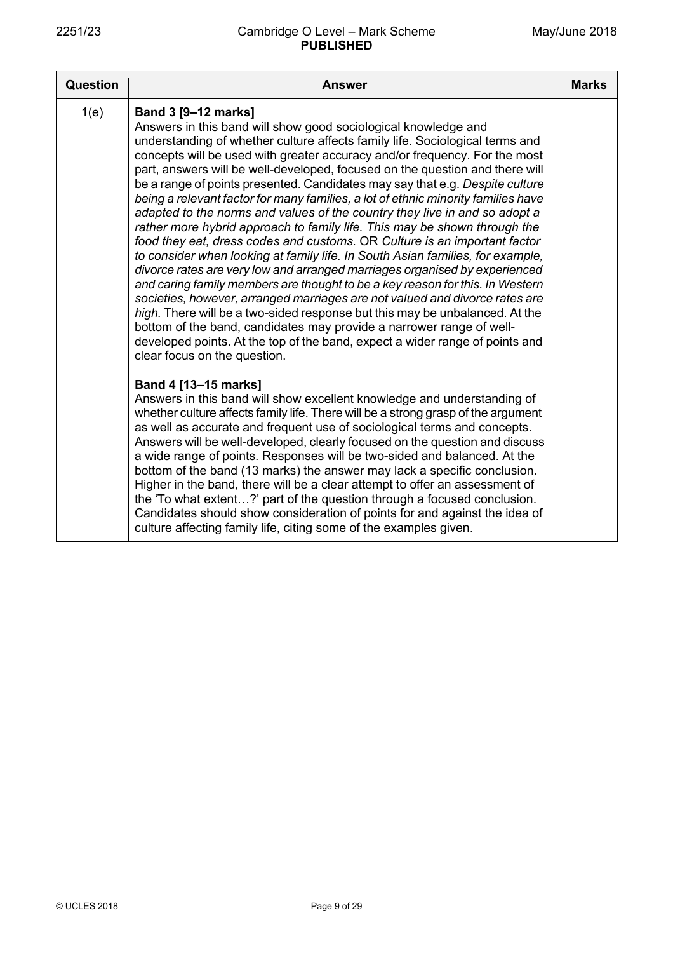| Question | Answer                                                                                                                                                                                                                                                                                                                                                                                                                                                                                                                                                                                                                                                                                                                                                                                                                                                                                                                                                                                                                                                                                                                                                                                                                                                                                                                                                         | <b>Marks</b> |
|----------|----------------------------------------------------------------------------------------------------------------------------------------------------------------------------------------------------------------------------------------------------------------------------------------------------------------------------------------------------------------------------------------------------------------------------------------------------------------------------------------------------------------------------------------------------------------------------------------------------------------------------------------------------------------------------------------------------------------------------------------------------------------------------------------------------------------------------------------------------------------------------------------------------------------------------------------------------------------------------------------------------------------------------------------------------------------------------------------------------------------------------------------------------------------------------------------------------------------------------------------------------------------------------------------------------------------------------------------------------------------|--------------|
| 1(e)     | <b>Band 3 [9-12 marks]</b><br>Answers in this band will show good sociological knowledge and<br>understanding of whether culture affects family life. Sociological terms and<br>concepts will be used with greater accuracy and/or frequency. For the most<br>part, answers will be well-developed, focused on the question and there will<br>be a range of points presented. Candidates may say that e.g. Despite culture<br>being a relevant factor for many families, a lot of ethnic minority families have<br>adapted to the norms and values of the country they live in and so adopt a<br>rather more hybrid approach to family life. This may be shown through the<br>food they eat, dress codes and customs. OR Culture is an important factor<br>to consider when looking at family life. In South Asian families, for example,<br>divorce rates are very low and arranged marriages organised by experienced<br>and caring family members are thought to be a key reason for this. In Western<br>societies, however, arranged marriages are not valued and divorce rates are<br>high. There will be a two-sided response but this may be unbalanced. At the<br>bottom of the band, candidates may provide a narrower range of well-<br>developed points. At the top of the band, expect a wider range of points and<br>clear focus on the question. |              |
|          | Band 4 [13-15 marks]<br>Answers in this band will show excellent knowledge and understanding of<br>whether culture affects family life. There will be a strong grasp of the argument<br>as well as accurate and frequent use of sociological terms and concepts.<br>Answers will be well-developed, clearly focused on the question and discuss<br>a wide range of points. Responses will be two-sided and balanced. At the<br>bottom of the band (13 marks) the answer may lack a specific conclusion.<br>Higher in the band, there will be a clear attempt to offer an assessment of<br>the 'To what extent?' part of the question through a focused conclusion.<br>Candidates should show consideration of points for and against the idea of<br>culture affecting family life, citing some of the examples given.                                                                                                                                                                                                                                                                                                                                                                                                                                                                                                                                          |              |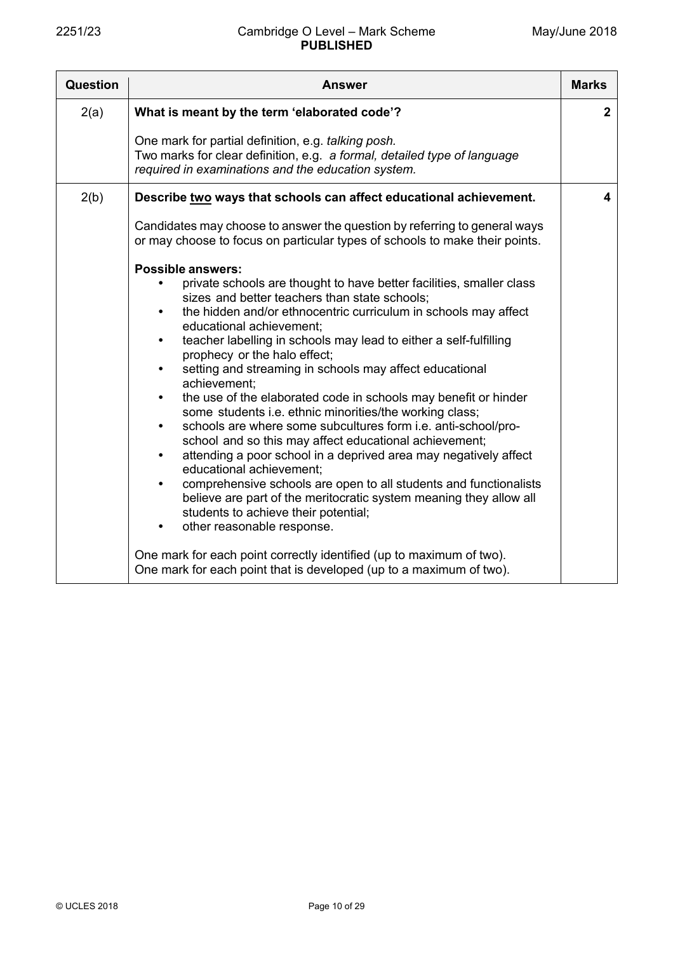| Question | <b>Answer</b>                                                                                                                                                                                                                                                                                                                                                                                                                                                                                                                                                                                                                                                                                                                                                                                                                                                                                                                                                                                                                                                                                                                                                                                                                                             | <b>Marks</b>   |
|----------|-----------------------------------------------------------------------------------------------------------------------------------------------------------------------------------------------------------------------------------------------------------------------------------------------------------------------------------------------------------------------------------------------------------------------------------------------------------------------------------------------------------------------------------------------------------------------------------------------------------------------------------------------------------------------------------------------------------------------------------------------------------------------------------------------------------------------------------------------------------------------------------------------------------------------------------------------------------------------------------------------------------------------------------------------------------------------------------------------------------------------------------------------------------------------------------------------------------------------------------------------------------|----------------|
| 2(a)     | What is meant by the term 'elaborated code'?                                                                                                                                                                                                                                                                                                                                                                                                                                                                                                                                                                                                                                                                                                                                                                                                                                                                                                                                                                                                                                                                                                                                                                                                              | $\overline{2}$ |
|          | One mark for partial definition, e.g. talking posh.<br>Two marks for clear definition, e.g. a formal, detailed type of language<br>required in examinations and the education system.                                                                                                                                                                                                                                                                                                                                                                                                                                                                                                                                                                                                                                                                                                                                                                                                                                                                                                                                                                                                                                                                     |                |
| 2(b)     | Describe two ways that schools can affect educational achievement.                                                                                                                                                                                                                                                                                                                                                                                                                                                                                                                                                                                                                                                                                                                                                                                                                                                                                                                                                                                                                                                                                                                                                                                        | 4              |
|          | Candidates may choose to answer the question by referring to general ways<br>or may choose to focus on particular types of schools to make their points.                                                                                                                                                                                                                                                                                                                                                                                                                                                                                                                                                                                                                                                                                                                                                                                                                                                                                                                                                                                                                                                                                                  |                |
|          | <b>Possible answers:</b><br>private schools are thought to have better facilities, smaller class<br>sizes and better teachers than state schools;<br>the hidden and/or ethnocentric curriculum in schools may affect<br>$\bullet$<br>educational achievement;<br>teacher labelling in schools may lead to either a self-fulfilling<br>$\bullet$<br>prophecy or the halo effect;<br>setting and streaming in schools may affect educational<br>$\bullet$<br>achievement:<br>the use of the elaborated code in schools may benefit or hinder<br>$\bullet$<br>some students i.e. ethnic minorities/the working class;<br>schools are where some subcultures form i.e. anti-school/pro-<br>$\bullet$<br>school and so this may affect educational achievement;<br>attending a poor school in a deprived area may negatively affect<br>$\bullet$<br>educational achievement;<br>comprehensive schools are open to all students and functionalists<br>$\bullet$<br>believe are part of the meritocratic system meaning they allow all<br>students to achieve their potential;<br>other reasonable response.<br>٠<br>One mark for each point correctly identified (up to maximum of two).<br>One mark for each point that is developed (up to a maximum of two). |                |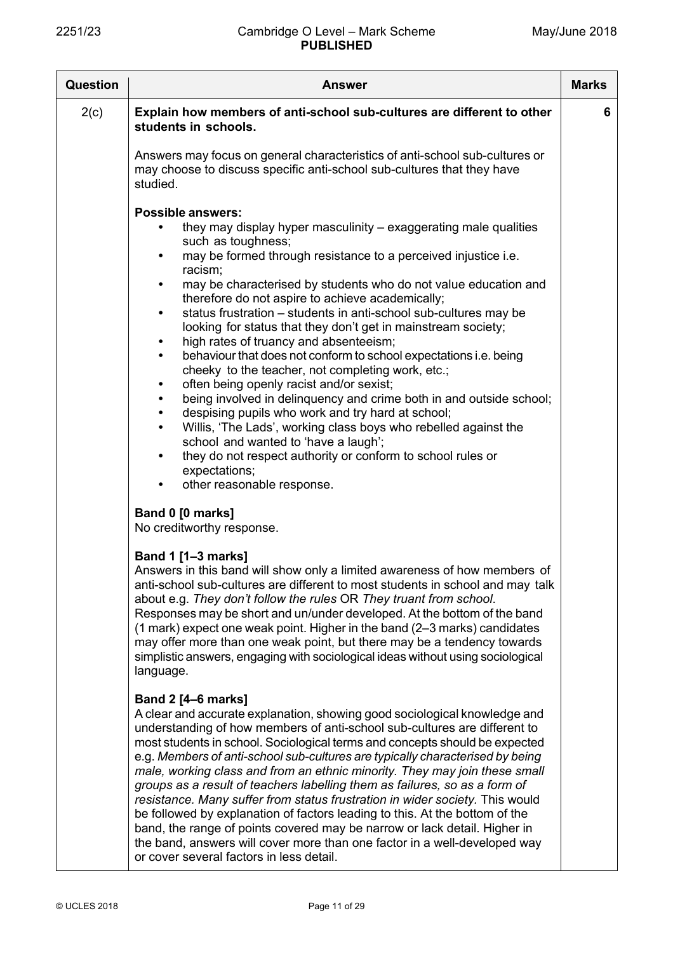| <b>Question</b> | <b>Answer</b>                                                                                                                                                                                                                                                                                                                                                                                                                                                                                                                                                                                                                                                                                                                                                                                                                                                                                                                                                                                                                                                                                                                                         | <b>Marks</b> |
|-----------------|-------------------------------------------------------------------------------------------------------------------------------------------------------------------------------------------------------------------------------------------------------------------------------------------------------------------------------------------------------------------------------------------------------------------------------------------------------------------------------------------------------------------------------------------------------------------------------------------------------------------------------------------------------------------------------------------------------------------------------------------------------------------------------------------------------------------------------------------------------------------------------------------------------------------------------------------------------------------------------------------------------------------------------------------------------------------------------------------------------------------------------------------------------|--------------|
| 2(c)            | Explain how members of anti-school sub-cultures are different to other<br>students in schools.<br>Answers may focus on general characteristics of anti-school sub-cultures or<br>may choose to discuss specific anti-school sub-cultures that they have<br>studied.                                                                                                                                                                                                                                                                                                                                                                                                                                                                                                                                                                                                                                                                                                                                                                                                                                                                                   | 6            |
|                 | <b>Possible answers:</b><br>they may display hyper masculinity - exaggerating male qualities<br>such as toughness;<br>may be formed through resistance to a perceived injustice i.e.<br>$\bullet$<br>racism;<br>may be characterised by students who do not value education and<br>$\bullet$<br>therefore do not aspire to achieve academically;<br>status frustration - students in anti-school sub-cultures may be<br>$\bullet$<br>looking for status that they don't get in mainstream society;<br>high rates of truancy and absenteeism;<br>$\bullet$<br>behaviour that does not conform to school expectations i.e. being<br>$\bullet$<br>cheeky to the teacher, not completing work, etc.;<br>often being openly racist and/or sexist;<br>$\bullet$<br>being involved in delinquency and crime both in and outside school;<br>$\bullet$<br>despising pupils who work and try hard at school;<br>Willis, 'The Lads', working class boys who rebelled against the<br>$\bullet$<br>school and wanted to 'have a laugh';<br>they do not respect authority or conform to school rules or<br>$\bullet$<br>expectations;<br>other reasonable response. |              |
|                 | Band 0 [0 marks]<br>No creditworthy response.<br>Band 1 [1-3 marks]<br>Answers in this band will show only a limited awareness of how members of<br>anti-school sub-cultures are different to most students in school and may talk<br>about e.g. They don't follow the rules OR They truant from school.<br>Responses may be short and un/under developed. At the bottom of the band<br>(1 mark) expect one weak point. Higher in the band (2-3 marks) candidates<br>may offer more than one weak point, but there may be a tendency towards<br>simplistic answers, engaging with sociological ideas without using sociological<br>language.                                                                                                                                                                                                                                                                                                                                                                                                                                                                                                          |              |
|                 | Band 2 [4-6 marks]<br>A clear and accurate explanation, showing good sociological knowledge and<br>understanding of how members of anti-school sub-cultures are different to<br>most students in school. Sociological terms and concepts should be expected<br>e.g. Members of anti-school sub-cultures are typically characterised by being<br>male, working class and from an ethnic minority. They may join these small<br>groups as a result of teachers labelling them as failures, so as a form of<br>resistance. Many suffer from status frustration in wider society. This would<br>be followed by explanation of factors leading to this. At the bottom of the<br>band, the range of points covered may be narrow or lack detail. Higher in<br>the band, answers will cover more than one factor in a well-developed way<br>or cover several factors in less detail.                                                                                                                                                                                                                                                                         |              |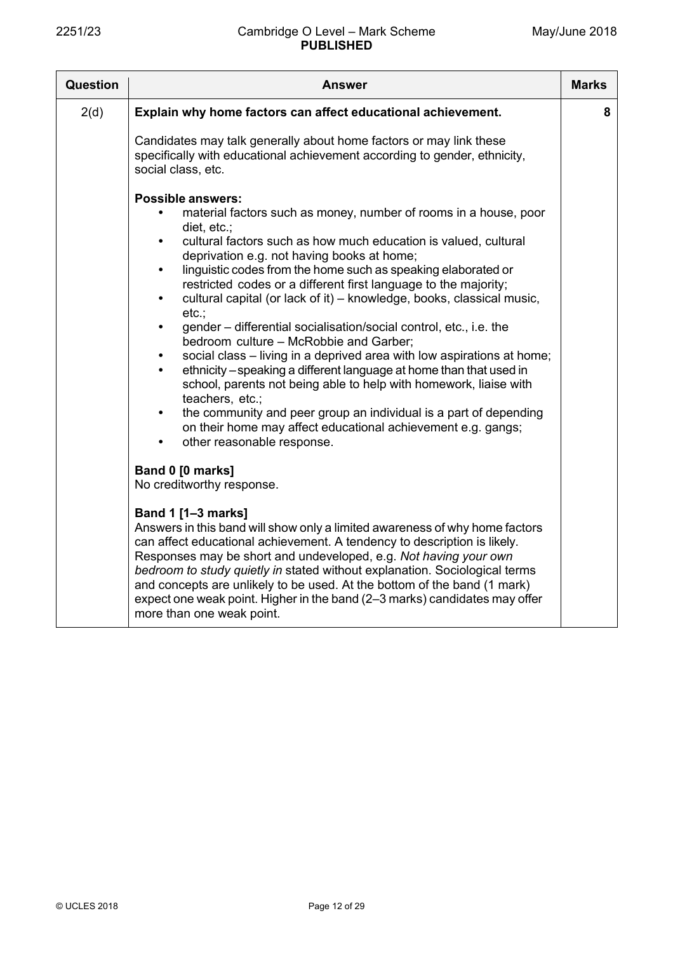| <b>Question</b> | Answer                                                                                                                                                                                                                                                                                                                                                                                                                                                                                                                                                                                                                                                                                                                                                                                                                                                                                                                                                                                                                                                                                    | <b>Marks</b> |
|-----------------|-------------------------------------------------------------------------------------------------------------------------------------------------------------------------------------------------------------------------------------------------------------------------------------------------------------------------------------------------------------------------------------------------------------------------------------------------------------------------------------------------------------------------------------------------------------------------------------------------------------------------------------------------------------------------------------------------------------------------------------------------------------------------------------------------------------------------------------------------------------------------------------------------------------------------------------------------------------------------------------------------------------------------------------------------------------------------------------------|--------------|
| 2(d)            | Explain why home factors can affect educational achievement.                                                                                                                                                                                                                                                                                                                                                                                                                                                                                                                                                                                                                                                                                                                                                                                                                                                                                                                                                                                                                              | 8            |
|                 | Candidates may talk generally about home factors or may link these<br>specifically with educational achievement according to gender, ethnicity,<br>social class, etc.                                                                                                                                                                                                                                                                                                                                                                                                                                                                                                                                                                                                                                                                                                                                                                                                                                                                                                                     |              |
|                 | <b>Possible answers:</b><br>material factors such as money, number of rooms in a house, poor<br>diet, etc.;<br>cultural factors such as how much education is valued, cultural<br>$\bullet$<br>deprivation e.g. not having books at home;<br>linguistic codes from the home such as speaking elaborated or<br>$\bullet$<br>restricted codes or a different first language to the majority;<br>cultural capital (or lack of it) - knowledge, books, classical music,<br>$\bullet$<br>$etc.$ ;<br>gender – differential socialisation/social control, etc., i.e. the<br>$\bullet$<br>bedroom culture - McRobbie and Garber;<br>social class – living in a deprived area with low aspirations at home;<br>$\bullet$<br>ethnicity – speaking a different language at home than that used in<br>$\bullet$<br>school, parents not being able to help with homework, liaise with<br>teachers, etc.;<br>the community and peer group an individual is a part of depending<br>$\bullet$<br>on their home may affect educational achievement e.g. gangs;<br>other reasonable response.<br>$\bullet$ |              |
|                 | Band 0 [0 marks]<br>No creditworthy response.                                                                                                                                                                                                                                                                                                                                                                                                                                                                                                                                                                                                                                                                                                                                                                                                                                                                                                                                                                                                                                             |              |
|                 | <b>Band 1 [1-3 marks]</b><br>Answers in this band will show only a limited awareness of why home factors<br>can affect educational achievement. A tendency to description is likely.<br>Responses may be short and undeveloped, e.g. Not having your own<br>bedroom to study quietly in stated without explanation. Sociological terms<br>and concepts are unlikely to be used. At the bottom of the band (1 mark)<br>expect one weak point. Higher in the band (2-3 marks) candidates may offer<br>more than one weak point.                                                                                                                                                                                                                                                                                                                                                                                                                                                                                                                                                             |              |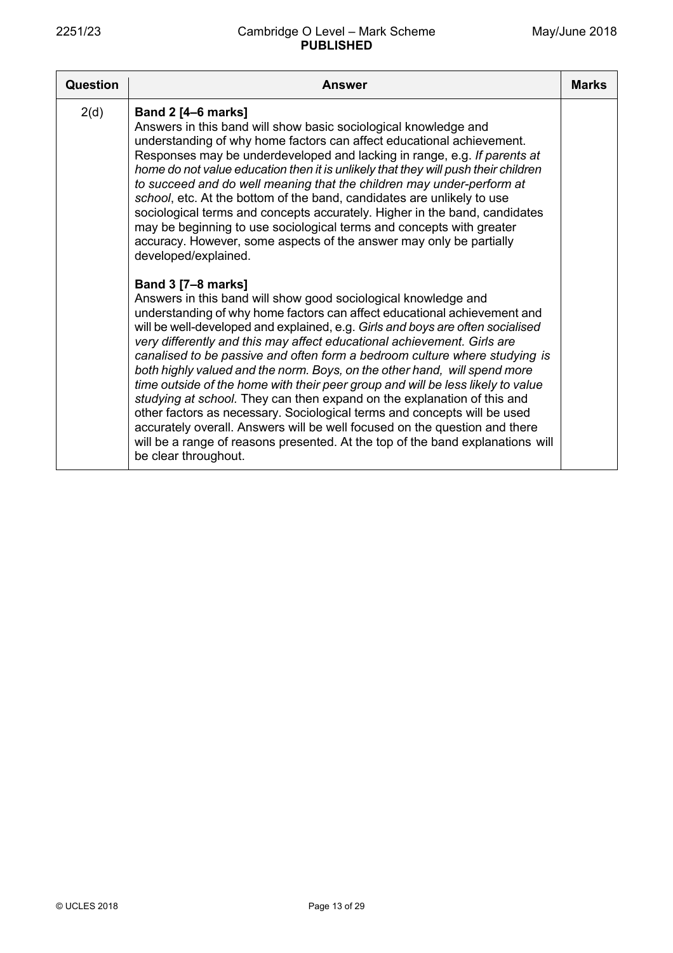| Question | Answer                                                                                                                                                                                                                                                                                                                                                                                                                                                                                                                                                                                                                                                                                                                                                                                                                                                                                                                                                                                                                                                                                  | <b>Marks</b> |
|----------|-----------------------------------------------------------------------------------------------------------------------------------------------------------------------------------------------------------------------------------------------------------------------------------------------------------------------------------------------------------------------------------------------------------------------------------------------------------------------------------------------------------------------------------------------------------------------------------------------------------------------------------------------------------------------------------------------------------------------------------------------------------------------------------------------------------------------------------------------------------------------------------------------------------------------------------------------------------------------------------------------------------------------------------------------------------------------------------------|--------------|
| 2(d)     | <b>Band 2 [4-6 marks]</b><br>Answers in this band will show basic sociological knowledge and<br>understanding of why home factors can affect educational achievement.<br>Responses may be underdeveloped and lacking in range, e.g. If parents at<br>home do not value education then it is unlikely that they will push their children<br>to succeed and do well meaning that the children may under-perform at<br>school, etc. At the bottom of the band, candidates are unlikely to use<br>sociological terms and concepts accurately. Higher in the band, candidates<br>may be beginning to use sociological terms and concepts with greater<br>accuracy. However, some aspects of the answer may only be partially<br>developed/explained.<br><b>Band 3 [7-8 marks]</b><br>Answers in this band will show good sociological knowledge and<br>understanding of why home factors can affect educational achievement and<br>will be well-developed and explained, e.g. Girls and boys are often socialised<br>very differently and this may affect educational achievement. Girls are |              |
|          | canalised to be passive and often form a bedroom culture where studying is<br>both highly valued and the norm. Boys, on the other hand, will spend more<br>time outside of the home with their peer group and will be less likely to value<br>studying at school. They can then expand on the explanation of this and<br>other factors as necessary. Sociological terms and concepts will be used<br>accurately overall. Answers will be well focused on the question and there<br>will be a range of reasons presented. At the top of the band explanations will<br>be clear throughout.                                                                                                                                                                                                                                                                                                                                                                                                                                                                                               |              |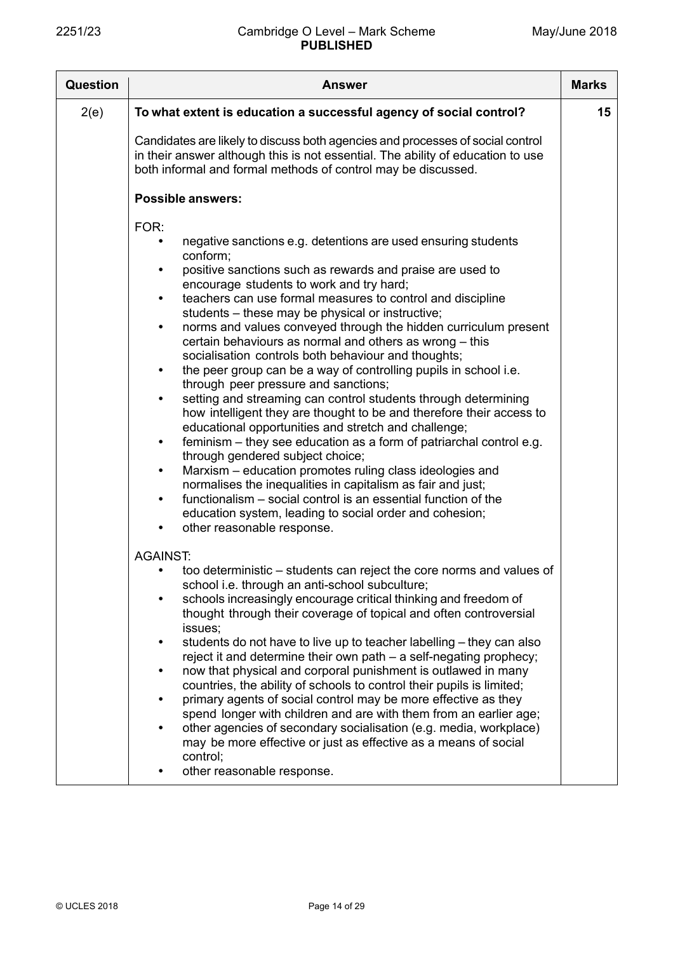| <b>Question</b> | Answer                                                                                                                                                                                                                                                                                                                                                                                                                                                                                                                                                                                                                                                                                                                                                                                                                                                                                                                                                                                                                                                                                                                                                                                                                                                                                                                                     | <b>Marks</b> |
|-----------------|--------------------------------------------------------------------------------------------------------------------------------------------------------------------------------------------------------------------------------------------------------------------------------------------------------------------------------------------------------------------------------------------------------------------------------------------------------------------------------------------------------------------------------------------------------------------------------------------------------------------------------------------------------------------------------------------------------------------------------------------------------------------------------------------------------------------------------------------------------------------------------------------------------------------------------------------------------------------------------------------------------------------------------------------------------------------------------------------------------------------------------------------------------------------------------------------------------------------------------------------------------------------------------------------------------------------------------------------|--------------|
| 2(e)            | To what extent is education a successful agency of social control?                                                                                                                                                                                                                                                                                                                                                                                                                                                                                                                                                                                                                                                                                                                                                                                                                                                                                                                                                                                                                                                                                                                                                                                                                                                                         | 15           |
|                 | Candidates are likely to discuss both agencies and processes of social control<br>in their answer although this is not essential. The ability of education to use<br>both informal and formal methods of control may be discussed.                                                                                                                                                                                                                                                                                                                                                                                                                                                                                                                                                                                                                                                                                                                                                                                                                                                                                                                                                                                                                                                                                                         |              |
|                 | <b>Possible answers:</b>                                                                                                                                                                                                                                                                                                                                                                                                                                                                                                                                                                                                                                                                                                                                                                                                                                                                                                                                                                                                                                                                                                                                                                                                                                                                                                                   |              |
|                 | FOR:<br>negative sanctions e.g. detentions are used ensuring students<br>$\bullet$<br>conform;<br>positive sanctions such as rewards and praise are used to<br>$\bullet$<br>encourage students to work and try hard;<br>teachers can use formal measures to control and discipline<br>$\bullet$<br>students – these may be physical or instructive;<br>norms and values conveyed through the hidden curriculum present<br>٠<br>certain behaviours as normal and others as wrong - this<br>socialisation controls both behaviour and thoughts;<br>the peer group can be a way of controlling pupils in school i.e.<br>$\bullet$<br>through peer pressure and sanctions;<br>setting and streaming can control students through determining<br>$\bullet$<br>how intelligent they are thought to be and therefore their access to<br>educational opportunities and stretch and challenge;<br>feminism – they see education as a form of patriarchal control e.g.<br>$\bullet$<br>through gendered subject choice;<br>Marxism - education promotes ruling class ideologies and<br>$\bullet$<br>normalises the inequalities in capitalism as fair and just;<br>functionalism – social control is an essential function of the<br>$\bullet$<br>education system, leading to social order and cohesion;<br>other reasonable response.<br>$\bullet$ |              |
|                 | <b>AGAINST:</b><br>too deterministic - students can reject the core norms and values of<br>school i.e. through an anti-school subculture;<br>schools increasingly encourage critical thinking and freedom of<br>$\bullet$<br>thought through their coverage of topical and often controversial<br>issues;<br>students do not have to live up to teacher labelling - they can also<br>$\bullet$<br>reject it and determine their own path – a self-negating prophecy;<br>now that physical and corporal punishment is outlawed in many<br>$\bullet$<br>countries, the ability of schools to control their pupils is limited;<br>primary agents of social control may be more effective as they<br>$\bullet$<br>spend longer with children and are with them from an earlier age;<br>other agencies of secondary socialisation (e.g. media, workplace)<br>$\bullet$<br>may be more effective or just as effective as a means of social<br>control;<br>other reasonable response.                                                                                                                                                                                                                                                                                                                                                             |              |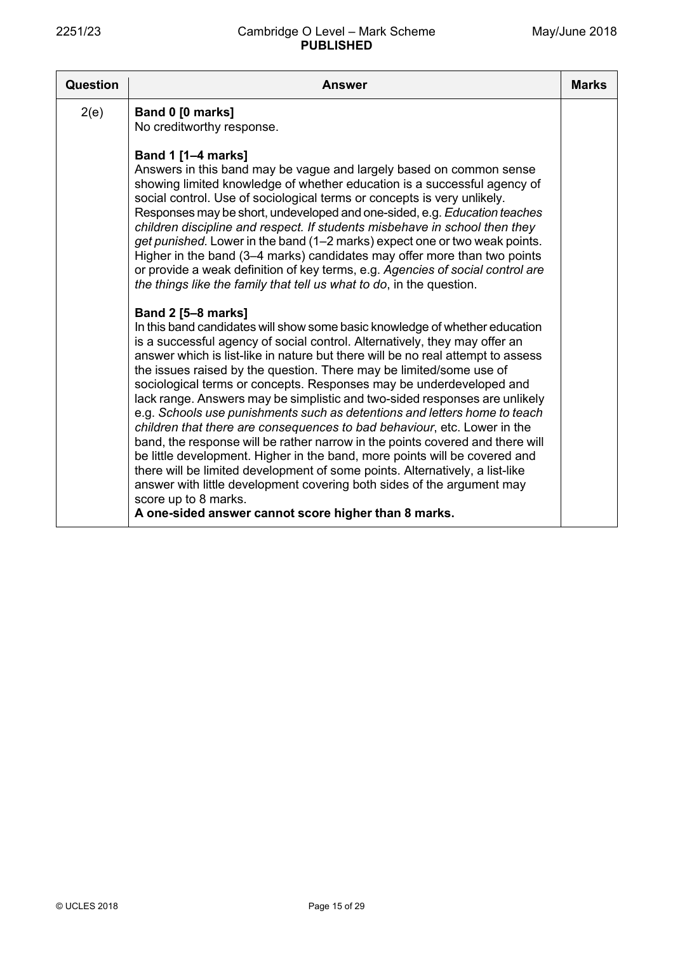| <b>Question</b> | <b>Answer</b>                                                                                                                                                                                                                                                                                                                                                                                                                                                                                                                                                                                                                                                                                                       | <b>Marks</b> |
|-----------------|---------------------------------------------------------------------------------------------------------------------------------------------------------------------------------------------------------------------------------------------------------------------------------------------------------------------------------------------------------------------------------------------------------------------------------------------------------------------------------------------------------------------------------------------------------------------------------------------------------------------------------------------------------------------------------------------------------------------|--------------|
| 2(e)            | Band 0 [0 marks]<br>No creditworthy response.<br><b>Band 1 [1-4 marks]</b><br>Answers in this band may be vague and largely based on common sense<br>showing limited knowledge of whether education is a successful agency of<br>social control. Use of sociological terms or concepts is very unlikely.<br>Responses may be short, undeveloped and one-sided, e.g. Education teaches<br>children discipline and respect. If students misbehave in school then they                                                                                                                                                                                                                                                 |              |
|                 | get punished. Lower in the band (1–2 marks) expect one or two weak points.<br>Higher in the band (3–4 marks) candidates may offer more than two points<br>or provide a weak definition of key terms, e.g. Agencies of social control are<br>the things like the family that tell us what to do, in the question.<br><b>Band 2 [5-8 marks]</b><br>In this band candidates will show some basic knowledge of whether education<br>is a successful agency of social control. Alternatively, they may offer an<br>answer which is list-like in nature but there will be no real attempt to assess<br>the issues raised by the question. There may be limited/some use of                                                |              |
|                 | sociological terms or concepts. Responses may be underdeveloped and<br>lack range. Answers may be simplistic and two-sided responses are unlikely<br>e.g. Schools use punishments such as detentions and letters home to teach<br>children that there are consequences to bad behaviour, etc. Lower in the<br>band, the response will be rather narrow in the points covered and there will<br>be little development. Higher in the band, more points will be covered and<br>there will be limited development of some points. Alternatively, a list-like<br>answer with little development covering both sides of the argument may<br>score up to 8 marks.<br>A one-sided answer cannot score higher than 8 marks. |              |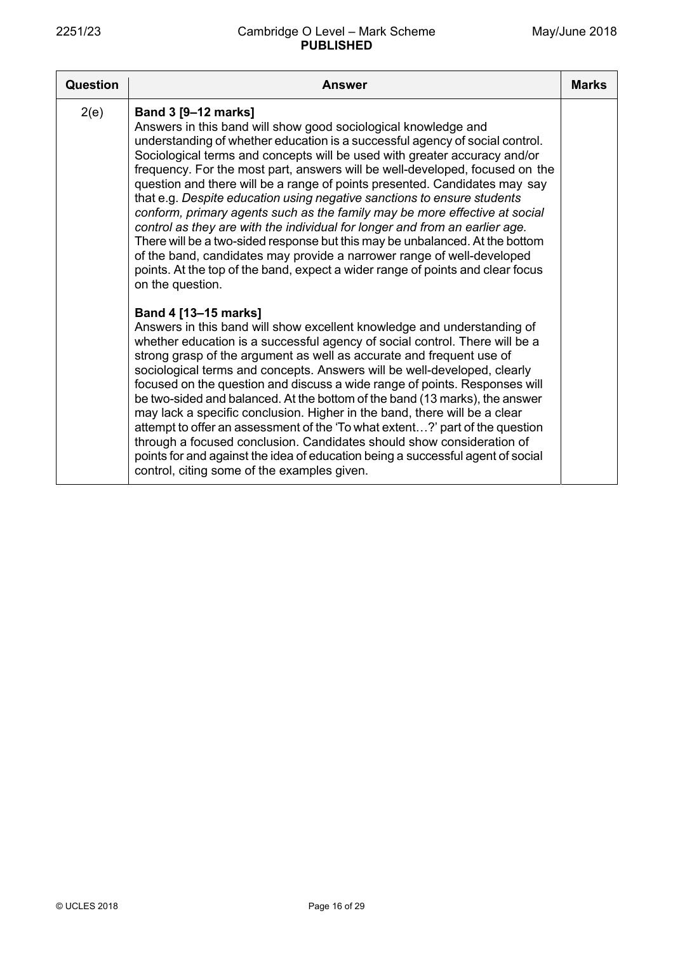| <b>Question</b> | <b>Answer</b>                                                                                                                                                                                                                                                                                                                                                                                                                                                                                                                                                                                                                                                                                                                                                                                                                                                                                                            | <b>Marks</b> |
|-----------------|--------------------------------------------------------------------------------------------------------------------------------------------------------------------------------------------------------------------------------------------------------------------------------------------------------------------------------------------------------------------------------------------------------------------------------------------------------------------------------------------------------------------------------------------------------------------------------------------------------------------------------------------------------------------------------------------------------------------------------------------------------------------------------------------------------------------------------------------------------------------------------------------------------------------------|--------------|
| 2(e)            | Band 3 [9-12 marks]<br>Answers in this band will show good sociological knowledge and<br>understanding of whether education is a successful agency of social control.<br>Sociological terms and concepts will be used with greater accuracy and/or<br>frequency. For the most part, answers will be well-developed, focused on the<br>question and there will be a range of points presented. Candidates may say<br>that e.g. Despite education using negative sanctions to ensure students<br>conform, primary agents such as the family may be more effective at social<br>control as they are with the individual for longer and from an earlier age.<br>There will be a two-sided response but this may be unbalanced. At the bottom<br>of the band, candidates may provide a narrower range of well-developed<br>points. At the top of the band, expect a wider range of points and clear focus<br>on the question. |              |
|                 | Band 4 [13-15 marks]<br>Answers in this band will show excellent knowledge and understanding of<br>whether education is a successful agency of social control. There will be a<br>strong grasp of the argument as well as accurate and frequent use of<br>sociological terms and concepts. Answers will be well-developed, clearly<br>focused on the question and discuss a wide range of points. Responses will<br>be two-sided and balanced. At the bottom of the band (13 marks), the answer<br>may lack a specific conclusion. Higher in the band, there will be a clear<br>attempt to offer an assessment of the 'To what extent?' part of the question<br>through a focused conclusion. Candidates should show consideration of<br>points for and against the idea of education being a successful agent of social<br>control, citing some of the examples given.                                                  |              |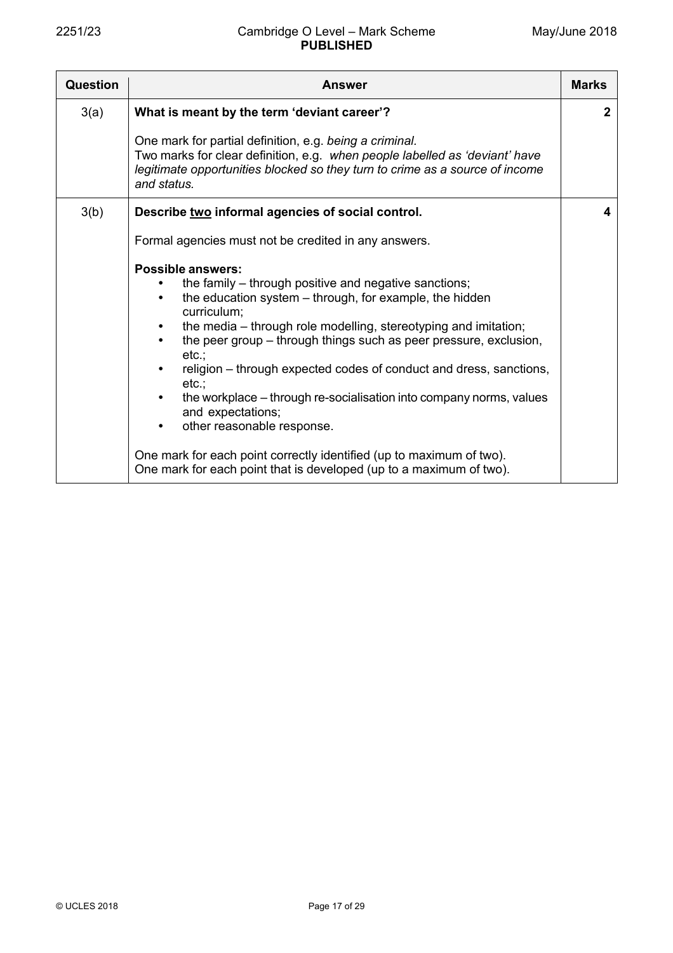| Question | <b>Answer</b>                                                                                                                                                                                                                                                                                                                                                                                                                                                                                                                                                                                                                                                                                 | <b>Marks</b> |
|----------|-----------------------------------------------------------------------------------------------------------------------------------------------------------------------------------------------------------------------------------------------------------------------------------------------------------------------------------------------------------------------------------------------------------------------------------------------------------------------------------------------------------------------------------------------------------------------------------------------------------------------------------------------------------------------------------------------|--------------|
| 3(a)     | What is meant by the term 'deviant career'?                                                                                                                                                                                                                                                                                                                                                                                                                                                                                                                                                                                                                                                   | $\mathbf{2}$ |
|          | One mark for partial definition, e.g. being a criminal.<br>Two marks for clear definition, e.g. when people labelled as 'deviant' have<br>legitimate opportunities blocked so they turn to crime as a source of income<br>and status.                                                                                                                                                                                                                                                                                                                                                                                                                                                         |              |
| 3(b)     | Describe two informal agencies of social control.                                                                                                                                                                                                                                                                                                                                                                                                                                                                                                                                                                                                                                             | 4            |
|          | Formal agencies must not be credited in any answers.                                                                                                                                                                                                                                                                                                                                                                                                                                                                                                                                                                                                                                          |              |
|          | <b>Possible answers:</b><br>the family - through positive and negative sanctions;<br>the education system – through, for example, the hidden<br>$\bullet$<br>curriculum;<br>the media – through role modelling, stereotyping and imitation;<br>the peer group – through things such as peer pressure, exclusion,<br>etc.;<br>religion – through expected codes of conduct and dress, sanctions,<br>etc.<br>the workplace - through re-socialisation into company norms, values<br>and expectations;<br>other reasonable response.<br>$\bullet$<br>One mark for each point correctly identified (up to maximum of two).<br>One mark for each point that is developed (up to a maximum of two). |              |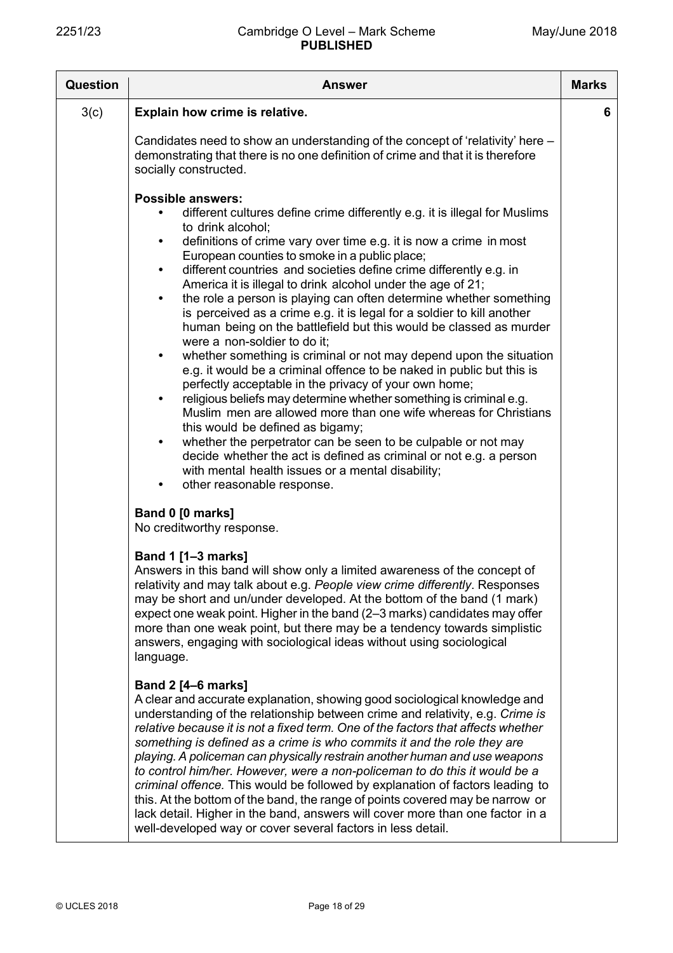| <b>Question</b> | <b>Answer</b>                                                                                                                                                                                                                                                                                                                                                                                                                                                                                                                                                                                                                                                                                                                                                                                                                        | <b>Marks</b> |
|-----------------|--------------------------------------------------------------------------------------------------------------------------------------------------------------------------------------------------------------------------------------------------------------------------------------------------------------------------------------------------------------------------------------------------------------------------------------------------------------------------------------------------------------------------------------------------------------------------------------------------------------------------------------------------------------------------------------------------------------------------------------------------------------------------------------------------------------------------------------|--------------|
| 3(c)            | Explain how crime is relative.                                                                                                                                                                                                                                                                                                                                                                                                                                                                                                                                                                                                                                                                                                                                                                                                       | 6.           |
|                 | Candidates need to show an understanding of the concept of 'relativity' here -<br>demonstrating that there is no one definition of crime and that it is therefore<br>socially constructed.<br><b>Possible answers:</b>                                                                                                                                                                                                                                                                                                                                                                                                                                                                                                                                                                                                               |              |
|                 | different cultures define crime differently e.g. it is illegal for Muslims<br>to drink alcohol;<br>definitions of crime vary over time e.g. it is now a crime in most<br>$\bullet$                                                                                                                                                                                                                                                                                                                                                                                                                                                                                                                                                                                                                                                   |              |
|                 | European counties to smoke in a public place;<br>different countries and societies define crime differently e.g. in<br>$\bullet$<br>America it is illegal to drink alcohol under the age of 21;                                                                                                                                                                                                                                                                                                                                                                                                                                                                                                                                                                                                                                      |              |
|                 | the role a person is playing can often determine whether something<br>$\bullet$<br>is perceived as a crime e.g. it is legal for a soldier to kill another<br>human being on the battlefield but this would be classed as murder<br>were a non-soldier to do it;                                                                                                                                                                                                                                                                                                                                                                                                                                                                                                                                                                      |              |
|                 | whether something is criminal or not may depend upon the situation<br>e.g. it would be a criminal offence to be naked in public but this is<br>perfectly acceptable in the privacy of your own home;<br>religious beliefs may determine whether something is criminal e.g.<br>$\bullet$<br>Muslim men are allowed more than one wife whereas for Christians                                                                                                                                                                                                                                                                                                                                                                                                                                                                          |              |
|                 | this would be defined as bigamy;<br>whether the perpetrator can be seen to be culpable or not may<br>decide whether the act is defined as criminal or not e.g. a person<br>with mental health issues or a mental disability;                                                                                                                                                                                                                                                                                                                                                                                                                                                                                                                                                                                                         |              |
|                 | other reasonable response.<br>Band 0 [0 marks]<br>No creditworthy response.                                                                                                                                                                                                                                                                                                                                                                                                                                                                                                                                                                                                                                                                                                                                                          |              |
|                 | <b>Band 1 [1-3 marks]</b><br>Answers in this band will show only a limited awareness of the concept of<br>relativity and may talk about e.g. People view crime differently. Responses<br>may be short and un/under developed. At the bottom of the band (1 mark)<br>expect one weak point. Higher in the band (2–3 marks) candidates may offer<br>more than one weak point, but there may be a tendency towards simplistic<br>answers, engaging with sociological ideas without using sociological<br>language.                                                                                                                                                                                                                                                                                                                      |              |
|                 | <b>Band 2 [4–6 marks]</b><br>A clear and accurate explanation, showing good sociological knowledge and<br>understanding of the relationship between crime and relativity, e.g. Crime is<br>relative because it is not a fixed term. One of the factors that affects whether<br>something is defined as a crime is who commits it and the role they are<br>playing. A policeman can physically restrain another human and use weapons<br>to control him/her. However, were a non-policeman to do this it would be a<br>criminal offence. This would be followed by explanation of factors leading to<br>this. At the bottom of the band, the range of points covered may be narrow or<br>lack detail. Higher in the band, answers will cover more than one factor in a<br>well-developed way or cover several factors in less detail. |              |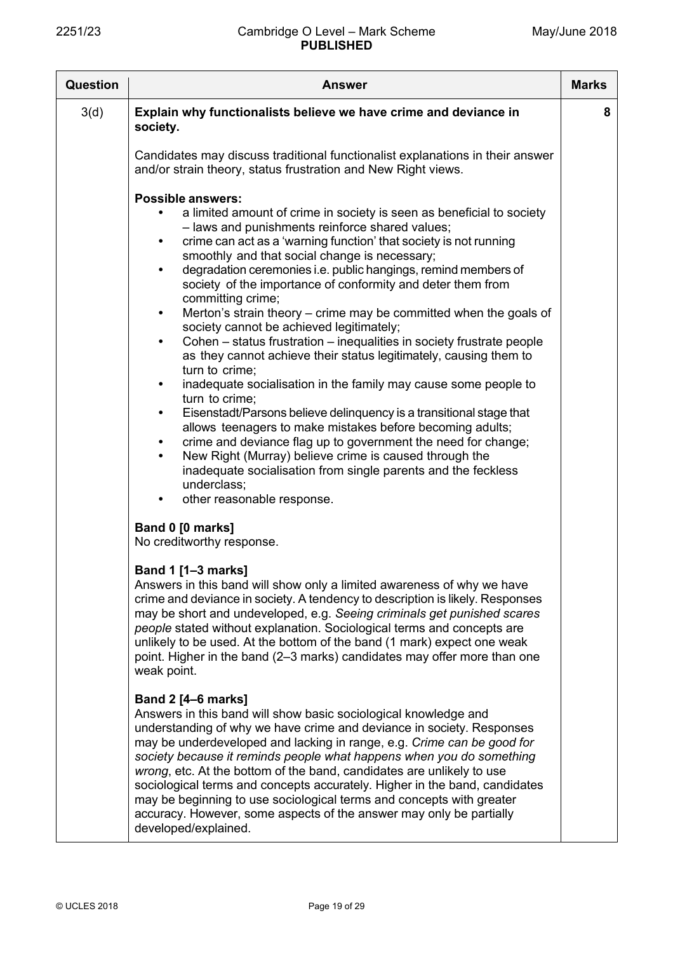| Question | <b>Answer</b>                                                                                                                                                                                                                                                                                                                                                                                                                                                                                                                                                                                                                                                                                                                                                                                                                                                                                                                                                                                                                                                                                             | <b>Marks</b> |
|----------|-----------------------------------------------------------------------------------------------------------------------------------------------------------------------------------------------------------------------------------------------------------------------------------------------------------------------------------------------------------------------------------------------------------------------------------------------------------------------------------------------------------------------------------------------------------------------------------------------------------------------------------------------------------------------------------------------------------------------------------------------------------------------------------------------------------------------------------------------------------------------------------------------------------------------------------------------------------------------------------------------------------------------------------------------------------------------------------------------------------|--------------|
| 3(d)     | Explain why functionalists believe we have crime and deviance in<br>society.<br>Candidates may discuss traditional functionalist explanations in their answer<br>and/or strain theory, status frustration and New Right views.<br><b>Possible answers:</b><br>a limited amount of crime in society is seen as beneficial to society<br>- laws and punishments reinforce shared values;                                                                                                                                                                                                                                                                                                                                                                                                                                                                                                                                                                                                                                                                                                                    | 8            |
|          | crime can act as a 'warning function' that society is not running<br>$\bullet$<br>smoothly and that social change is necessary;<br>degradation ceremonies i.e. public hangings, remind members of<br>$\bullet$<br>society of the importance of conformity and deter them from<br>committing crime;<br>Merton's strain theory – crime may be committed when the goals of<br>$\bullet$<br>society cannot be achieved legitimately;<br>Cohen – status frustration – inequalities in society frustrate people<br>$\bullet$<br>as they cannot achieve their status legitimately, causing them to<br>turn to crime;<br>inadequate socialisation in the family may cause some people to<br>$\bullet$<br>turn to crime;<br>Eisenstadt/Parsons believe delinquency is a transitional stage that<br>$\bullet$<br>allows teenagers to make mistakes before becoming adults;<br>crime and deviance flag up to government the need for change;<br>New Right (Murray) believe crime is caused through the<br>inadequate socialisation from single parents and the feckless<br>underclass;<br>other reasonable response. |              |
|          | Band 0 [0 marks]<br>No creditworthy response.<br><b>Band 1 [1-3 marks]</b><br>Answers in this band will show only a limited awareness of why we have<br>crime and deviance in society. A tendency to description is likely. Responses<br>may be short and undeveloped, e.g. Seeing criminals get punished scares<br>people stated without explanation. Sociological terms and concepts are<br>unlikely to be used. At the bottom of the band (1 mark) expect one weak<br>point. Higher in the band (2-3 marks) candidates may offer more than one<br>weak point.                                                                                                                                                                                                                                                                                                                                                                                                                                                                                                                                          |              |
|          | <b>Band 2 [4–6 marks]</b><br>Answers in this band will show basic sociological knowledge and<br>understanding of why we have crime and deviance in society. Responses<br>may be underdeveloped and lacking in range, e.g. Crime can be good for<br>society because it reminds people what happens when you do something<br>wrong, etc. At the bottom of the band, candidates are unlikely to use<br>sociological terms and concepts accurately. Higher in the band, candidates<br>may be beginning to use sociological terms and concepts with greater<br>accuracy. However, some aspects of the answer may only be partially<br>developed/explained.                                                                                                                                                                                                                                                                                                                                                                                                                                                     |              |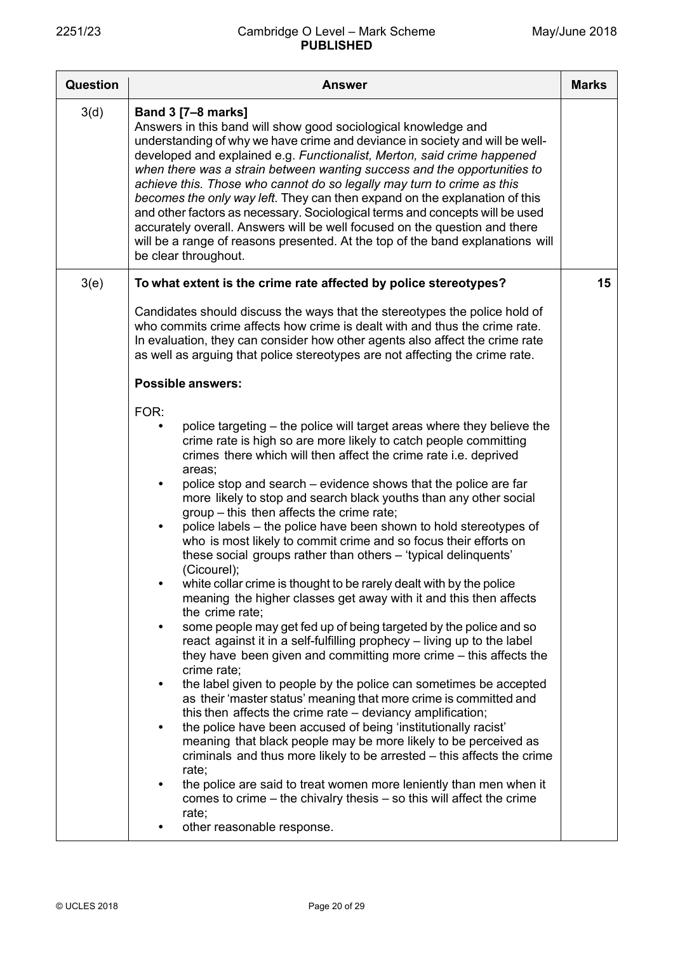| <b>Question</b> | <b>Answer</b>                                                                                                                                                                                                                                                                                                                                                                                                                                                                                                                                                                                                                                                                                                                                                                                                                                                                                                                                                                                                                                                                                                                                                                                                                                                                                                                                                                                                                                                                                                                                                                                                                                                                                                                                                                       | <b>Marks</b> |
|-----------------|-------------------------------------------------------------------------------------------------------------------------------------------------------------------------------------------------------------------------------------------------------------------------------------------------------------------------------------------------------------------------------------------------------------------------------------------------------------------------------------------------------------------------------------------------------------------------------------------------------------------------------------------------------------------------------------------------------------------------------------------------------------------------------------------------------------------------------------------------------------------------------------------------------------------------------------------------------------------------------------------------------------------------------------------------------------------------------------------------------------------------------------------------------------------------------------------------------------------------------------------------------------------------------------------------------------------------------------------------------------------------------------------------------------------------------------------------------------------------------------------------------------------------------------------------------------------------------------------------------------------------------------------------------------------------------------------------------------------------------------------------------------------------------------|--------------|
| 3(d)            | <b>Band 3 [7-8 marks]</b><br>Answers in this band will show good sociological knowledge and<br>understanding of why we have crime and deviance in society and will be well-<br>developed and explained e.g. Functionalist, Merton, said crime happened<br>when there was a strain between wanting success and the opportunities to<br>achieve this. Those who cannot do so legally may turn to crime as this<br>becomes the only way left. They can then expand on the explanation of this<br>and other factors as necessary. Sociological terms and concepts will be used<br>accurately overall. Answers will be well focused on the question and there<br>will be a range of reasons presented. At the top of the band explanations will<br>be clear throughout.                                                                                                                                                                                                                                                                                                                                                                                                                                                                                                                                                                                                                                                                                                                                                                                                                                                                                                                                                                                                                  |              |
| 3(e)            | To what extent is the crime rate affected by police stereotypes?                                                                                                                                                                                                                                                                                                                                                                                                                                                                                                                                                                                                                                                                                                                                                                                                                                                                                                                                                                                                                                                                                                                                                                                                                                                                                                                                                                                                                                                                                                                                                                                                                                                                                                                    | 15           |
|                 | Candidates should discuss the ways that the stereotypes the police hold of<br>who commits crime affects how crime is dealt with and thus the crime rate.<br>In evaluation, they can consider how other agents also affect the crime rate<br>as well as arguing that police stereotypes are not affecting the crime rate.                                                                                                                                                                                                                                                                                                                                                                                                                                                                                                                                                                                                                                                                                                                                                                                                                                                                                                                                                                                                                                                                                                                                                                                                                                                                                                                                                                                                                                                            |              |
|                 | <b>Possible answers:</b>                                                                                                                                                                                                                                                                                                                                                                                                                                                                                                                                                                                                                                                                                                                                                                                                                                                                                                                                                                                                                                                                                                                                                                                                                                                                                                                                                                                                                                                                                                                                                                                                                                                                                                                                                            |              |
|                 | FOR:<br>police targeting – the police will target areas where they believe the<br>crime rate is high so are more likely to catch people committing<br>crimes there which will then affect the crime rate i.e. deprived<br>areas;<br>police stop and search – evidence shows that the police are far<br>$\bullet$<br>more likely to stop and search black youths than any other social<br>group – this then affects the crime rate;<br>police labels – the police have been shown to hold stereotypes of<br>$\bullet$<br>who is most likely to commit crime and so focus their efforts on<br>these social groups rather than others - 'typical delinquents'<br>(Cicourel);<br>white collar crime is thought to be rarely dealt with by the police<br>$\bullet$<br>meaning the higher classes get away with it and this then affects<br>the crime rate;<br>some people may get fed up of being targeted by the police and so<br>$\bullet$<br>react against it in a self-fulfilling prophecy – living up to the label<br>they have been given and committing more crime – this affects the<br>crime rate;<br>the label given to people by the police can sometimes be accepted<br>$\bullet$<br>as their 'master status' meaning that more crime is committed and<br>this then affects the crime rate - deviancy amplification;<br>the police have been accused of being 'institutionally racist'<br>$\bullet$<br>meaning that black people may be more likely to be perceived as<br>criminals and thus more likely to be arrested – this affects the crime<br>rate;<br>the police are said to treat women more leniently than men when it<br>$\bullet$<br>comes to crime $-$ the chivalry thesis $-$ so this will affect the crime<br>rate;<br>other reasonable response.<br>$\bullet$ |              |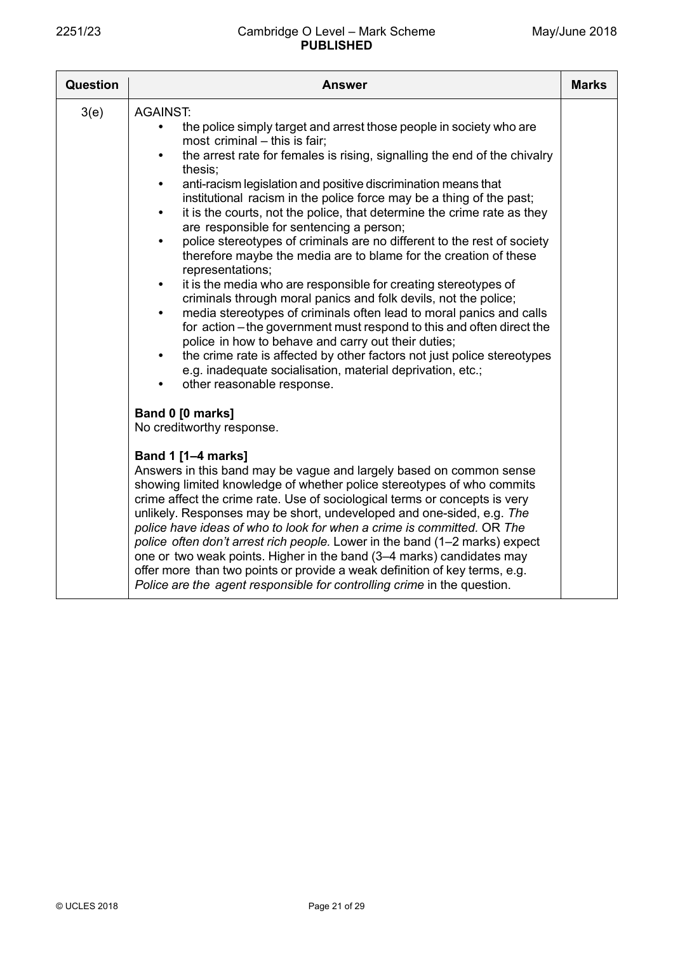| Question | <b>Answer</b>                                                                                                                                                                                                                                                                                                                                                                                                                                                                                                                                                                                                                                                                                                                                                                                                                                                                                                                                                                                                                                                                                                                                                                                                                                         | <b>Marks</b> |
|----------|-------------------------------------------------------------------------------------------------------------------------------------------------------------------------------------------------------------------------------------------------------------------------------------------------------------------------------------------------------------------------------------------------------------------------------------------------------------------------------------------------------------------------------------------------------------------------------------------------------------------------------------------------------------------------------------------------------------------------------------------------------------------------------------------------------------------------------------------------------------------------------------------------------------------------------------------------------------------------------------------------------------------------------------------------------------------------------------------------------------------------------------------------------------------------------------------------------------------------------------------------------|--------------|
| 3(e)     | <b>AGAINST:</b><br>the police simply target and arrest those people in society who are<br>most criminal - this is fair;<br>the arrest rate for females is rising, signalling the end of the chivalry<br>$\bullet$<br>thesis;<br>anti-racism legislation and positive discrimination means that<br>$\bullet$<br>institutional racism in the police force may be a thing of the past;<br>it is the courts, not the police, that determine the crime rate as they<br>$\bullet$<br>are responsible for sentencing a person;<br>police stereotypes of criminals are no different to the rest of society<br>$\bullet$<br>therefore maybe the media are to blame for the creation of these<br>representations;<br>it is the media who are responsible for creating stereotypes of<br>$\bullet$<br>criminals through moral panics and folk devils, not the police;<br>media stereotypes of criminals often lead to moral panics and calls<br>$\bullet$<br>for action – the government must respond to this and often direct the<br>police in how to behave and carry out their duties;<br>the crime rate is affected by other factors not just police stereotypes<br>e.g. inadequate socialisation, material deprivation, etc.;<br>other reasonable response. |              |
|          | Band 0 [0 marks]<br>No creditworthy response.                                                                                                                                                                                                                                                                                                                                                                                                                                                                                                                                                                                                                                                                                                                                                                                                                                                                                                                                                                                                                                                                                                                                                                                                         |              |
|          | <b>Band 1 [1-4 marks]</b><br>Answers in this band may be vague and largely based on common sense<br>showing limited knowledge of whether police stereotypes of who commits<br>crime affect the crime rate. Use of sociological terms or concepts is very<br>unlikely. Responses may be short, undeveloped and one-sided, e.g. The<br>police have ideas of who to look for when a crime is committed. OR The<br>police often don't arrest rich people. Lower in the band (1-2 marks) expect<br>one or two weak points. Higher in the band (3–4 marks) candidates may<br>offer more than two points or provide a weak definition of key terms, e.g.<br>Police are the agent responsible for controlling crime in the question.                                                                                                                                                                                                                                                                                                                                                                                                                                                                                                                          |              |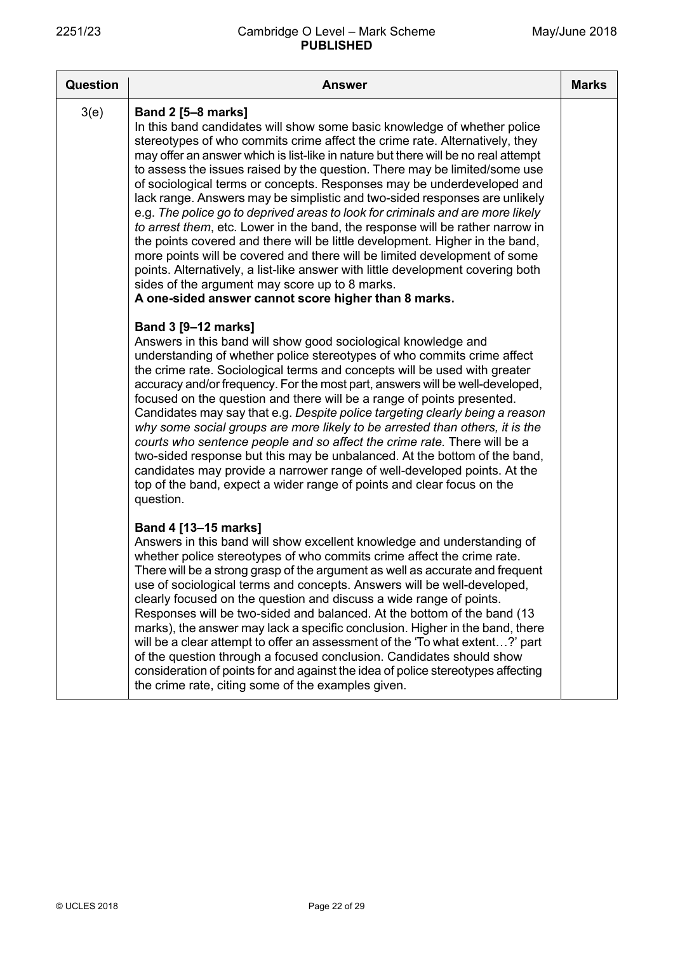| <b>Question</b> | <b>Answer</b>                                                                                                                                                                                                                                                                                                                                                                                                                                                                                                                                                                                                                                                                                                                                                                                                                                                                                                                                                                                                                                 | <b>Marks</b> |
|-----------------|-----------------------------------------------------------------------------------------------------------------------------------------------------------------------------------------------------------------------------------------------------------------------------------------------------------------------------------------------------------------------------------------------------------------------------------------------------------------------------------------------------------------------------------------------------------------------------------------------------------------------------------------------------------------------------------------------------------------------------------------------------------------------------------------------------------------------------------------------------------------------------------------------------------------------------------------------------------------------------------------------------------------------------------------------|--------------|
| 3(e)            | <b>Band 2 [5-8 marks]</b><br>In this band candidates will show some basic knowledge of whether police<br>stereotypes of who commits crime affect the crime rate. Alternatively, they<br>may offer an answer which is list-like in nature but there will be no real attempt<br>to assess the issues raised by the question. There may be limited/some use<br>of sociological terms or concepts. Responses may be underdeveloped and<br>lack range. Answers may be simplistic and two-sided responses are unlikely<br>e.g. The police go to deprived areas to look for criminals and are more likely<br>to arrest them, etc. Lower in the band, the response will be rather narrow in<br>the points covered and there will be little development. Higher in the band,<br>more points will be covered and there will be limited development of some<br>points. Alternatively, a list-like answer with little development covering both<br>sides of the argument may score up to 8 marks.<br>A one-sided answer cannot score higher than 8 marks. |              |
|                 | Band 3 [9-12 marks]<br>Answers in this band will show good sociological knowledge and<br>understanding of whether police stereotypes of who commits crime affect<br>the crime rate. Sociological terms and concepts will be used with greater<br>accuracy and/or frequency. For the most part, answers will be well-developed,<br>focused on the question and there will be a range of points presented.<br>Candidates may say that e.g. Despite police targeting clearly being a reason<br>why some social groups are more likely to be arrested than others, it is the<br>courts who sentence people and so affect the crime rate. There will be a<br>two-sided response but this may be unbalanced. At the bottom of the band,<br>candidates may provide a narrower range of well-developed points. At the<br>top of the band, expect a wider range of points and clear focus on the<br>question.                                                                                                                                          |              |
|                 | Band 4 [13-15 marks]<br>Answers in this band will show excellent knowledge and understanding of<br>whether police stereotypes of who commits crime affect the crime rate.<br>There will be a strong grasp of the argument as well as accurate and frequent<br>use of sociological terms and concepts. Answers will be well-developed,<br>clearly focused on the question and discuss a wide range of points.<br>Responses will be two-sided and balanced. At the bottom of the band (13<br>marks), the answer may lack a specific conclusion. Higher in the band, there<br>will be a clear attempt to offer an assessment of the 'To what extent?' part<br>of the question through a focused conclusion. Candidates should show<br>consideration of points for and against the idea of police stereotypes affecting<br>the crime rate, citing some of the examples given.                                                                                                                                                                     |              |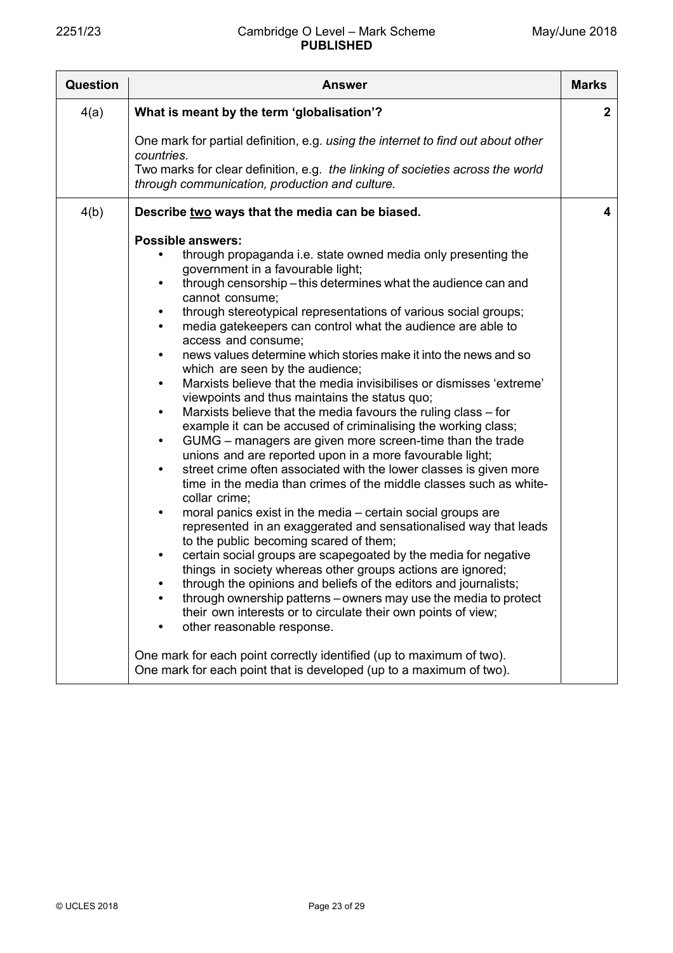| Question | <b>Answer</b>                                                                                                                                                                                                                                                                                                                                                                                                                                                                                                                                                                                                                                                                                                                                                                                                                                                                                                                                                                                                                                                                                                                                                                                                                                                                                                                                                                                                                                                                                                                                                                                                                                                                                                                                                                                         | <b>Marks</b> |
|----------|-------------------------------------------------------------------------------------------------------------------------------------------------------------------------------------------------------------------------------------------------------------------------------------------------------------------------------------------------------------------------------------------------------------------------------------------------------------------------------------------------------------------------------------------------------------------------------------------------------------------------------------------------------------------------------------------------------------------------------------------------------------------------------------------------------------------------------------------------------------------------------------------------------------------------------------------------------------------------------------------------------------------------------------------------------------------------------------------------------------------------------------------------------------------------------------------------------------------------------------------------------------------------------------------------------------------------------------------------------------------------------------------------------------------------------------------------------------------------------------------------------------------------------------------------------------------------------------------------------------------------------------------------------------------------------------------------------------------------------------------------------------------------------------------------------|--------------|
| 4(a)     | What is meant by the term 'globalisation'?                                                                                                                                                                                                                                                                                                                                                                                                                                                                                                                                                                                                                                                                                                                                                                                                                                                                                                                                                                                                                                                                                                                                                                                                                                                                                                                                                                                                                                                                                                                                                                                                                                                                                                                                                            | $\mathbf{2}$ |
|          | One mark for partial definition, e.g. using the internet to find out about other<br>countries.<br>Two marks for clear definition, e.g. the linking of societies across the world<br>through communication, production and culture.                                                                                                                                                                                                                                                                                                                                                                                                                                                                                                                                                                                                                                                                                                                                                                                                                                                                                                                                                                                                                                                                                                                                                                                                                                                                                                                                                                                                                                                                                                                                                                    |              |
| 4(b)     | Describe two ways that the media can be biased.                                                                                                                                                                                                                                                                                                                                                                                                                                                                                                                                                                                                                                                                                                                                                                                                                                                                                                                                                                                                                                                                                                                                                                                                                                                                                                                                                                                                                                                                                                                                                                                                                                                                                                                                                       | 4            |
|          | <b>Possible answers:</b><br>through propaganda i.e. state owned media only presenting the<br>government in a favourable light;<br>through censorship - this determines what the audience can and<br>$\bullet$<br>cannot consume;<br>through stereotypical representations of various social groups;<br>$\bullet$<br>media gatekeepers can control what the audience are able to<br>$\bullet$<br>access and consume;<br>news values determine which stories make it into the news and so<br>$\bullet$<br>which are seen by the audience;<br>Marxists believe that the media invisibilises or dismisses 'extreme'<br>$\bullet$<br>viewpoints and thus maintains the status quo;<br>Marxists believe that the media favours the ruling class – for<br>$\bullet$<br>example it can be accused of criminalising the working class;<br>GUMG – managers are given more screen-time than the trade<br>$\bullet$<br>unions and are reported upon in a more favourable light;<br>street crime often associated with the lower classes is given more<br>$\bullet$<br>time in the media than crimes of the middle classes such as white-<br>collar crime;<br>moral panics exist in the media – certain social groups are<br>$\bullet$<br>represented in an exaggerated and sensationalised way that leads<br>to the public becoming scared of them;<br>certain social groups are scapegoated by the media for negative<br>$\bullet$<br>things in society whereas other groups actions are ignored;<br>through the opinions and beliefs of the editors and journalists;<br>through ownership patterns – owners may use the media to protect<br>their own interests or to circulate their own points of view;<br>other reasonable response.<br>One mark for each point correctly identified (up to maximum of two). |              |
|          | One mark for each point that is developed (up to a maximum of two).                                                                                                                                                                                                                                                                                                                                                                                                                                                                                                                                                                                                                                                                                                                                                                                                                                                                                                                                                                                                                                                                                                                                                                                                                                                                                                                                                                                                                                                                                                                                                                                                                                                                                                                                   |              |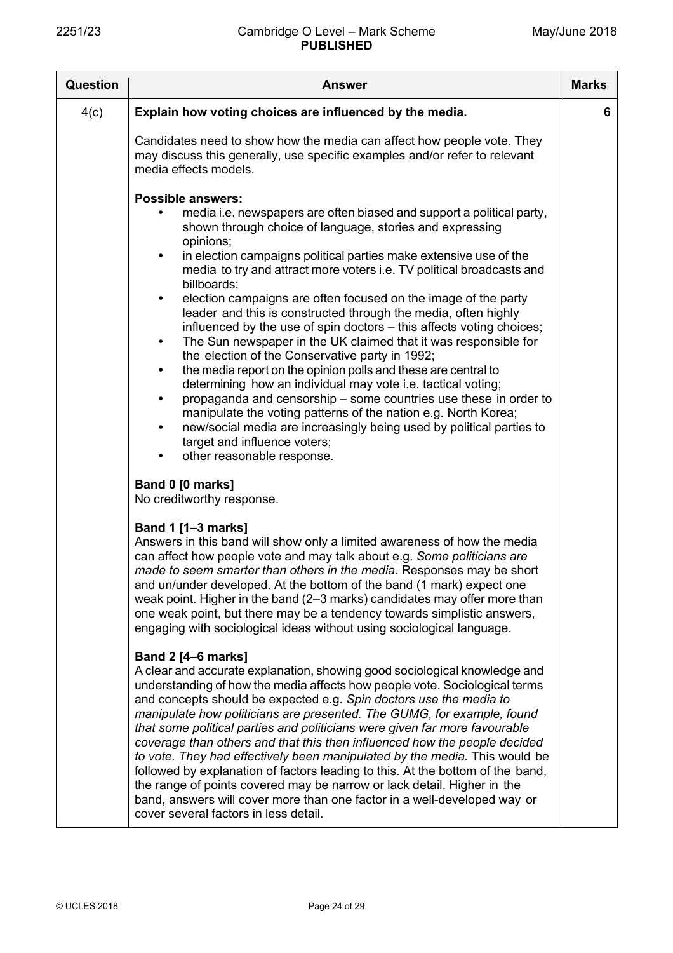| <b>Question</b> | Answer                                                                                                                                                                                                                                                                                                                                                                                                                                                                                                                                                                                                                                                                                                                                                                                                                                                          | <b>Marks</b> |
|-----------------|-----------------------------------------------------------------------------------------------------------------------------------------------------------------------------------------------------------------------------------------------------------------------------------------------------------------------------------------------------------------------------------------------------------------------------------------------------------------------------------------------------------------------------------------------------------------------------------------------------------------------------------------------------------------------------------------------------------------------------------------------------------------------------------------------------------------------------------------------------------------|--------------|
| 4(c)            | Explain how voting choices are influenced by the media.                                                                                                                                                                                                                                                                                                                                                                                                                                                                                                                                                                                                                                                                                                                                                                                                         | 6            |
|                 | Candidates need to show how the media can affect how people vote. They<br>may discuss this generally, use specific examples and/or refer to relevant<br>media effects models.                                                                                                                                                                                                                                                                                                                                                                                                                                                                                                                                                                                                                                                                                   |              |
|                 | <b>Possible answers:</b><br>media i.e. newspapers are often biased and support a political party,<br>shown through choice of language, stories and expressing<br>opinions;                                                                                                                                                                                                                                                                                                                                                                                                                                                                                                                                                                                                                                                                                      |              |
|                 | in election campaigns political parties make extensive use of the<br>$\bullet$<br>media to try and attract more voters i.e. TV political broadcasts and<br>billboards;                                                                                                                                                                                                                                                                                                                                                                                                                                                                                                                                                                                                                                                                                          |              |
|                 | election campaigns are often focused on the image of the party<br>$\bullet$<br>leader and this is constructed through the media, often highly<br>influenced by the use of spin doctors – this affects voting choices;<br>The Sun newspaper in the UK claimed that it was responsible for<br>$\bullet$<br>the election of the Conservative party in 1992;<br>the media report on the opinion polls and these are central to<br>$\bullet$<br>determining how an individual may vote i.e. tactical voting;<br>propaganda and censorship – some countries use these in order to<br>$\bullet$<br>manipulate the voting patterns of the nation e.g. North Korea;<br>new/social media are increasingly being used by political parties to<br>target and influence voters;<br>other reasonable response.<br>$\bullet$                                                   |              |
|                 | Band 0 [0 marks]<br>No creditworthy response.                                                                                                                                                                                                                                                                                                                                                                                                                                                                                                                                                                                                                                                                                                                                                                                                                   |              |
|                 | <b>Band 1 [1-3 marks]</b><br>Answers in this band will show only a limited awareness of how the media<br>can affect how people vote and may talk about e.g. Some politicians are<br>made to seem smarter than others in the media. Responses may be short<br>and un/under developed. At the bottom of the band (1 mark) expect one<br>weak point. Higher in the band (2-3 marks) candidates may offer more than<br>one weak point, but there may be a tendency towards simplistic answers,<br>engaging with sociological ideas without using sociological language.                                                                                                                                                                                                                                                                                             |              |
|                 | <b>Band 2 [4–6 marks]</b><br>A clear and accurate explanation, showing good sociological knowledge and<br>understanding of how the media affects how people vote. Sociological terms<br>and concepts should be expected e.g. Spin doctors use the media to<br>manipulate how politicians are presented. The GUMG, for example, found<br>that some political parties and politicians were given far more favourable<br>coverage than others and that this then influenced how the people decided<br>to vote. They had effectively been manipulated by the media. This would be<br>followed by explanation of factors leading to this. At the bottom of the band,<br>the range of points covered may be narrow or lack detail. Higher in the<br>band, answers will cover more than one factor in a well-developed way or<br>cover several factors in less detail. |              |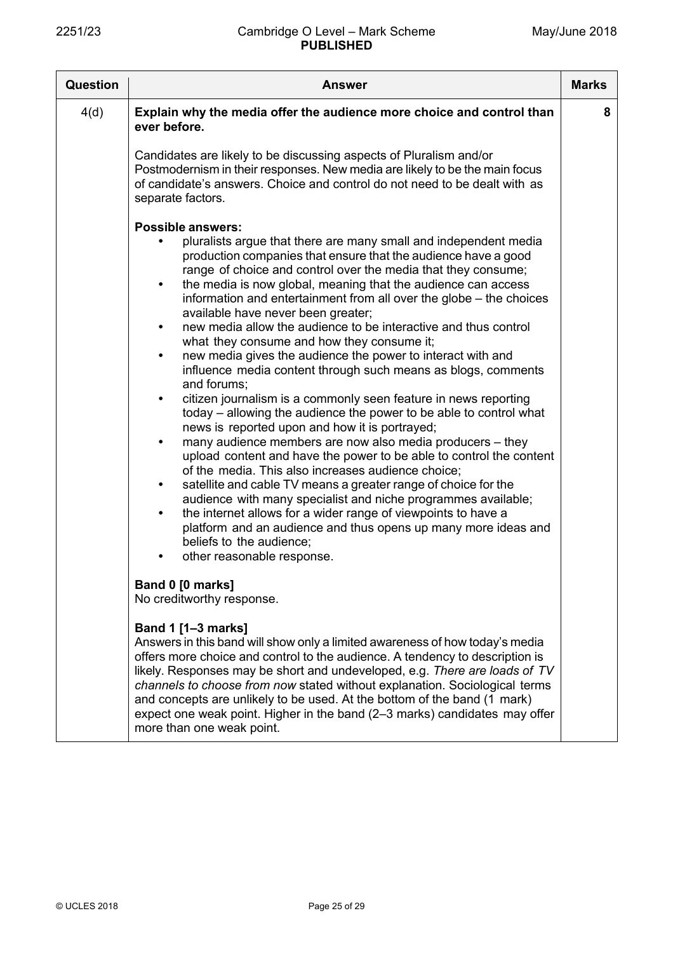| <b>Question</b> | <b>Answer</b>                                                                                                                                                                                                                                                                                                                                                                                                                                                                                                                                                                                                                                                                                                                                                                                                                                                                                                                                                                                                                                                                                                                                                                                                                                                                                                                                                                                                                                                       | <b>Marks</b> |
|-----------------|---------------------------------------------------------------------------------------------------------------------------------------------------------------------------------------------------------------------------------------------------------------------------------------------------------------------------------------------------------------------------------------------------------------------------------------------------------------------------------------------------------------------------------------------------------------------------------------------------------------------------------------------------------------------------------------------------------------------------------------------------------------------------------------------------------------------------------------------------------------------------------------------------------------------------------------------------------------------------------------------------------------------------------------------------------------------------------------------------------------------------------------------------------------------------------------------------------------------------------------------------------------------------------------------------------------------------------------------------------------------------------------------------------------------------------------------------------------------|--------------|
| 4(d)            | Explain why the media offer the audience more choice and control than<br>ever before.                                                                                                                                                                                                                                                                                                                                                                                                                                                                                                                                                                                                                                                                                                                                                                                                                                                                                                                                                                                                                                                                                                                                                                                                                                                                                                                                                                               | 8            |
|                 | Candidates are likely to be discussing aspects of Pluralism and/or<br>Postmodernism in their responses. New media are likely to be the main focus<br>of candidate's answers. Choice and control do not need to be dealt with as<br>separate factors.                                                                                                                                                                                                                                                                                                                                                                                                                                                                                                                                                                                                                                                                                                                                                                                                                                                                                                                                                                                                                                                                                                                                                                                                                |              |
|                 | <b>Possible answers:</b><br>pluralists argue that there are many small and independent media<br>production companies that ensure that the audience have a good<br>range of choice and control over the media that they consume;<br>the media is now global, meaning that the audience can access<br>$\bullet$<br>information and entertainment from all over the globe – the choices<br>available have never been greater;<br>new media allow the audience to be interactive and thus control<br>$\bullet$<br>what they consume and how they consume it;<br>new media gives the audience the power to interact with and<br>$\bullet$<br>influence media content through such means as blogs, comments<br>and forums:<br>citizen journalism is a commonly seen feature in news reporting<br>today – allowing the audience the power to be able to control what<br>news is reported upon and how it is portrayed;<br>many audience members are now also media producers - they<br>$\bullet$<br>upload content and have the power to be able to control the content<br>of the media. This also increases audience choice;<br>satellite and cable TV means a greater range of choice for the<br>$\bullet$<br>audience with many specialist and niche programmes available;<br>the internet allows for a wider range of viewpoints to have a<br>platform and an audience and thus opens up many more ideas and<br>beliefs to the audience:<br>other reasonable response. |              |
|                 | Band 0 [0 marks]<br>No creditworthy response.                                                                                                                                                                                                                                                                                                                                                                                                                                                                                                                                                                                                                                                                                                                                                                                                                                                                                                                                                                                                                                                                                                                                                                                                                                                                                                                                                                                                                       |              |
|                 | <b>Band 1 [1-3 marks]</b><br>Answers in this band will show only a limited awareness of how today's media<br>offers more choice and control to the audience. A tendency to description is<br>likely. Responses may be short and undeveloped, e.g. There are loads of TV<br>channels to choose from now stated without explanation. Sociological terms<br>and concepts are unlikely to be used. At the bottom of the band (1 mark)<br>expect one weak point. Higher in the band (2-3 marks) candidates may offer<br>more than one weak point.                                                                                                                                                                                                                                                                                                                                                                                                                                                                                                                                                                                                                                                                                                                                                                                                                                                                                                                        |              |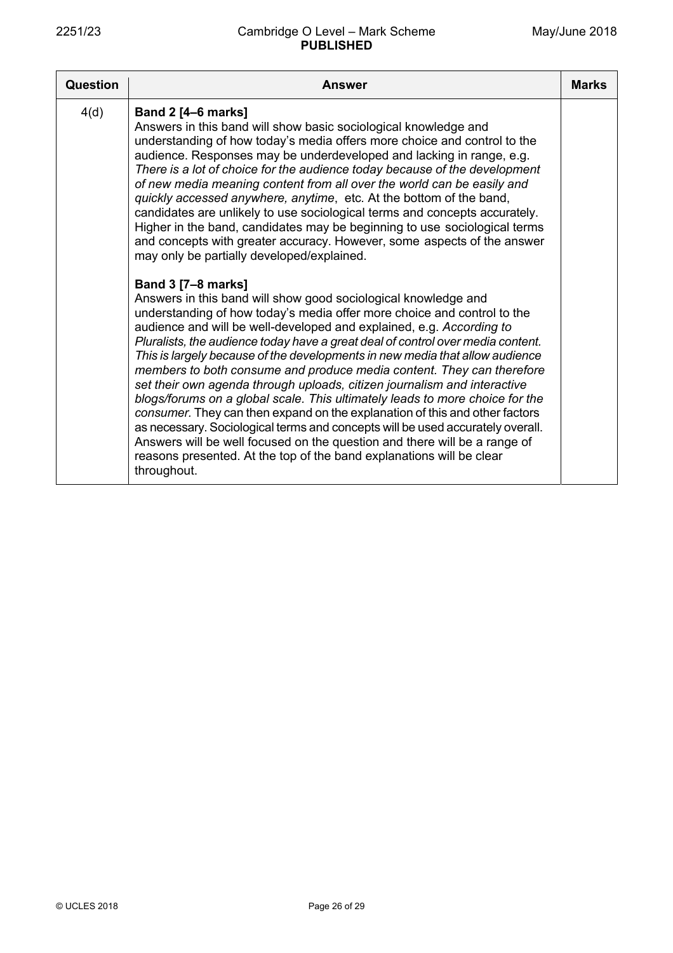| <b>Question</b> | Answer                                                                                                                                                                                                                                                                                                                                                                                                                                                                                                                                                                                                                                                                                                                                                                                                                                                                                                                                                                                                                                                                                                                                                                                                                                                                                                                                                                                                                                                                                                                                                                                                                                                                                                                                                      | <b>Marks</b> |
|-----------------|-------------------------------------------------------------------------------------------------------------------------------------------------------------------------------------------------------------------------------------------------------------------------------------------------------------------------------------------------------------------------------------------------------------------------------------------------------------------------------------------------------------------------------------------------------------------------------------------------------------------------------------------------------------------------------------------------------------------------------------------------------------------------------------------------------------------------------------------------------------------------------------------------------------------------------------------------------------------------------------------------------------------------------------------------------------------------------------------------------------------------------------------------------------------------------------------------------------------------------------------------------------------------------------------------------------------------------------------------------------------------------------------------------------------------------------------------------------------------------------------------------------------------------------------------------------------------------------------------------------------------------------------------------------------------------------------------------------------------------------------------------------|--------------|
| 4(d)            | Band 2 [4-6 marks]<br>Answers in this band will show basic sociological knowledge and<br>understanding of how today's media offers more choice and control to the<br>audience. Responses may be underdeveloped and lacking in range, e.g.<br>There is a lot of choice for the audience today because of the development<br>of new media meaning content from all over the world can be easily and<br>quickly accessed anywhere, anytime, etc. At the bottom of the band,<br>candidates are unlikely to use sociological terms and concepts accurately.<br>Higher in the band, candidates may be beginning to use sociological terms<br>and concepts with greater accuracy. However, some aspects of the answer<br>may only be partially developed/explained.<br><b>Band 3 [7-8 marks]</b><br>Answers in this band will show good sociological knowledge and<br>understanding of how today's media offer more choice and control to the<br>audience and will be well-developed and explained, e.g. According to<br>Pluralists, the audience today have a great deal of control over media content.<br>This is largely because of the developments in new media that allow audience<br>members to both consume and produce media content. They can therefore<br>set their own agenda through uploads, citizen journalism and interactive<br>blogs/forums on a global scale. This ultimately leads to more choice for the<br>consumer. They can then expand on the explanation of this and other factors<br>as necessary. Sociological terms and concepts will be used accurately overall.<br>Answers will be well focused on the question and there will be a range of<br>reasons presented. At the top of the band explanations will be clear<br>throughout. |              |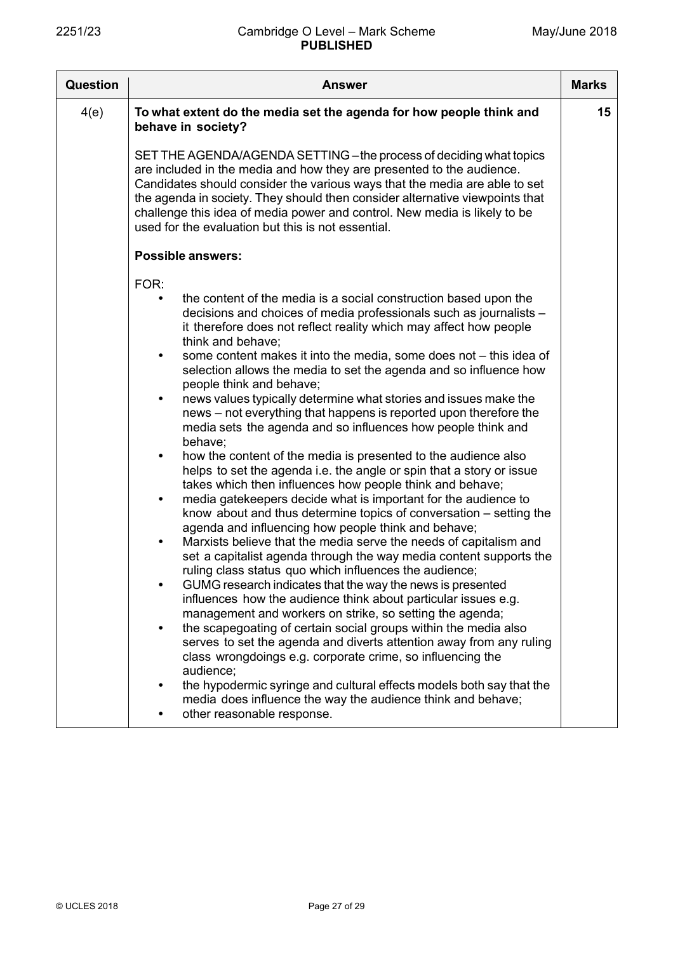| <b>Question</b> | <b>Answer</b>                                                                                                                                                                                                                                                                                                                                                                                                                                                                                                                                                                                                                                                                                                                                                                                                                                                                                                                                                                                                                                                                                                                                                                                                                                                                                                                                                                                                                                                                                                                                                                                                                                                                                                                                                                                                                                                                                                                                                         | <b>Marks</b> |
|-----------------|-----------------------------------------------------------------------------------------------------------------------------------------------------------------------------------------------------------------------------------------------------------------------------------------------------------------------------------------------------------------------------------------------------------------------------------------------------------------------------------------------------------------------------------------------------------------------------------------------------------------------------------------------------------------------------------------------------------------------------------------------------------------------------------------------------------------------------------------------------------------------------------------------------------------------------------------------------------------------------------------------------------------------------------------------------------------------------------------------------------------------------------------------------------------------------------------------------------------------------------------------------------------------------------------------------------------------------------------------------------------------------------------------------------------------------------------------------------------------------------------------------------------------------------------------------------------------------------------------------------------------------------------------------------------------------------------------------------------------------------------------------------------------------------------------------------------------------------------------------------------------------------------------------------------------------------------------------------------------|--------------|
| 4(e)            | To what extent do the media set the agenda for how people think and<br>behave in society?                                                                                                                                                                                                                                                                                                                                                                                                                                                                                                                                                                                                                                                                                                                                                                                                                                                                                                                                                                                                                                                                                                                                                                                                                                                                                                                                                                                                                                                                                                                                                                                                                                                                                                                                                                                                                                                                             | 15           |
|                 | SET THE AGENDA/AGENDA SETTING - the process of deciding what topics<br>are included in the media and how they are presented to the audience.<br>Candidates should consider the various ways that the media are able to set<br>the agenda in society. They should then consider alternative viewpoints that<br>challenge this idea of media power and control. New media is likely to be<br>used for the evaluation but this is not essential.                                                                                                                                                                                                                                                                                                                                                                                                                                                                                                                                                                                                                                                                                                                                                                                                                                                                                                                                                                                                                                                                                                                                                                                                                                                                                                                                                                                                                                                                                                                         |              |
|                 | <b>Possible answers:</b>                                                                                                                                                                                                                                                                                                                                                                                                                                                                                                                                                                                                                                                                                                                                                                                                                                                                                                                                                                                                                                                                                                                                                                                                                                                                                                                                                                                                                                                                                                                                                                                                                                                                                                                                                                                                                                                                                                                                              |              |
|                 | FOR:<br>the content of the media is a social construction based upon the<br>$\bullet$<br>decisions and choices of media professionals such as journalists -<br>it therefore does not reflect reality which may affect how people<br>think and behave;<br>some content makes it into the media, some does not - this idea of<br>$\bullet$<br>selection allows the media to set the agenda and so influence how<br>people think and behave;<br>news values typically determine what stories and issues make the<br>$\bullet$<br>news - not everything that happens is reported upon therefore the<br>media sets the agenda and so influences how people think and<br>behave;<br>how the content of the media is presented to the audience also<br>$\bullet$<br>helps to set the agenda i.e. the angle or spin that a story or issue<br>takes which then influences how people think and behave;<br>media gatekeepers decide what is important for the audience to<br>$\bullet$<br>know about and thus determine topics of conversation – setting the<br>agenda and influencing how people think and behave;<br>Marxists believe that the media serve the needs of capitalism and<br>$\bullet$<br>set a capitalist agenda through the way media content supports the<br>ruling class status quo which influences the audience;<br>GUMG research indicates that the way the news is presented<br>$\bullet$<br>influences how the audience think about particular issues e.g.<br>management and workers on strike, so setting the agenda;<br>the scapegoating of certain social groups within the media also<br>$\bullet$<br>serves to set the agenda and diverts attention away from any ruling<br>class wrongdoings e.g. corporate crime, so influencing the<br>audience;<br>the hypodermic syringe and cultural effects models both say that the<br>$\bullet$<br>media does influence the way the audience think and behave;<br>other reasonable response.<br>$\bullet$ |              |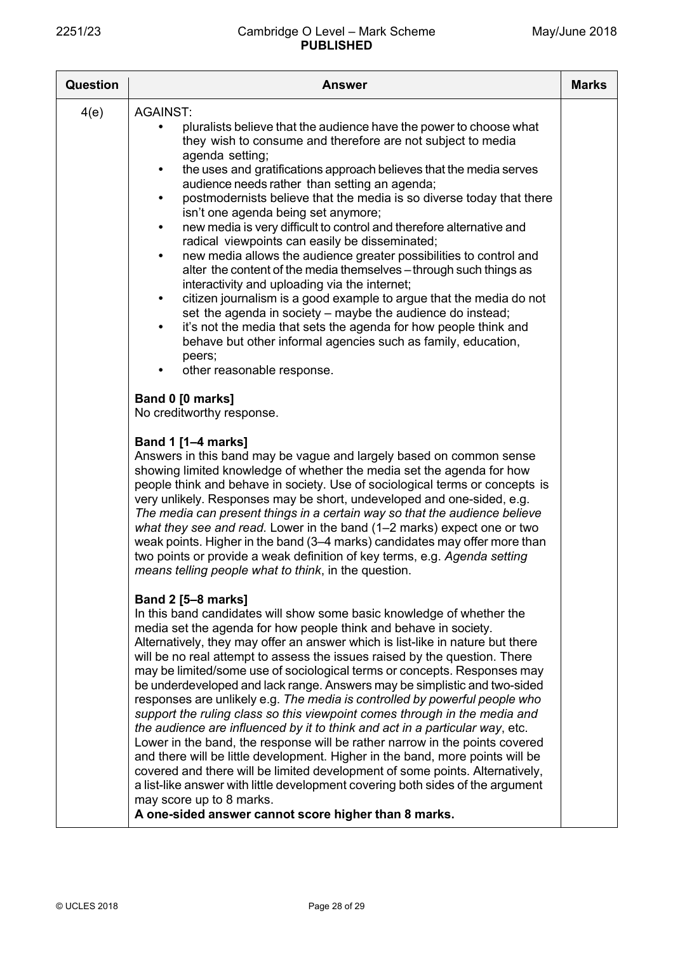| <b>Question</b> | <b>Answer</b>                                                                                                                                                                                                                                                                                                                                                                                                                                                                                                                                                                                                                                                                                                                                                                                                                                                                                                                                                                                                                                                                                                                                                                          | <b>Marks</b> |
|-----------------|----------------------------------------------------------------------------------------------------------------------------------------------------------------------------------------------------------------------------------------------------------------------------------------------------------------------------------------------------------------------------------------------------------------------------------------------------------------------------------------------------------------------------------------------------------------------------------------------------------------------------------------------------------------------------------------------------------------------------------------------------------------------------------------------------------------------------------------------------------------------------------------------------------------------------------------------------------------------------------------------------------------------------------------------------------------------------------------------------------------------------------------------------------------------------------------|--------------|
| 4(e)            | <b>AGAINST:</b><br>pluralists believe that the audience have the power to choose what<br>they wish to consume and therefore are not subject to media<br>agenda setting;<br>the uses and gratifications approach believes that the media serves<br>$\bullet$<br>audience needs rather than setting an agenda;<br>postmodernists believe that the media is so diverse today that there<br>$\bullet$<br>isn't one agenda being set anymore;<br>new media is very difficult to control and therefore alternative and<br>$\bullet$<br>radical viewpoints can easily be disseminated;<br>new media allows the audience greater possibilities to control and<br>$\bullet$<br>alter the content of the media themselves - through such things as<br>interactivity and uploading via the internet;<br>citizen journalism is a good example to argue that the media do not<br>$\bullet$<br>set the agenda in society – maybe the audience do instead;<br>it's not the media that sets the agenda for how people think and<br>$\bullet$<br>behave but other informal agencies such as family, education,<br>peers;<br>other reasonable response.<br>Band 0 [0 marks]<br>No creditworthy response. |              |
|                 | <b>Band 1 [1-4 marks]</b><br>Answers in this band may be vague and largely based on common sense<br>showing limited knowledge of whether the media set the agenda for how<br>people think and behave in society. Use of sociological terms or concepts is<br>very unlikely. Responses may be short, undeveloped and one-sided, e.g.<br>The media can present things in a certain way so that the audience believe<br>what they see and read. Lower in the band (1-2 marks) expect one or two<br>weak points. Higher in the band (3-4 marks) candidates may offer more than<br>two points or provide a weak definition of key terms, e.g. Agenda setting<br>means telling people what to think, in the question.                                                                                                                                                                                                                                                                                                                                                                                                                                                                        |              |
|                 | <b>Band 2 [5-8 marks]</b><br>In this band candidates will show some basic knowledge of whether the<br>media set the agenda for how people think and behave in society.<br>Alternatively, they may offer an answer which is list-like in nature but there<br>will be no real attempt to assess the issues raised by the question. There<br>may be limited/some use of sociological terms or concepts. Responses may<br>be underdeveloped and lack range. Answers may be simplistic and two-sided<br>responses are unlikely e.g. The media is controlled by powerful people who<br>support the ruling class so this viewpoint comes through in the media and<br>the audience are influenced by it to think and act in a particular way, etc.<br>Lower in the band, the response will be rather narrow in the points covered<br>and there will be little development. Higher in the band, more points will be<br>covered and there will be limited development of some points. Alternatively,<br>a list-like answer with little development covering both sides of the argument<br>may score up to 8 marks.<br>A one-sided answer cannot score higher than 8 marks.                       |              |